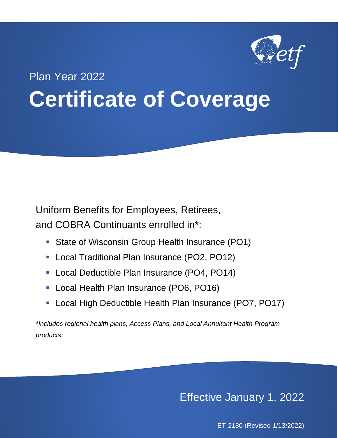

# Plan Year 2022 **Certificate of Coverage**

Uniform Benefits for Employees, Retirees, and COBRA Continuants enrolled in\*:

- **State of Wisconsin Group Health Insurance (PO1)**
- Local Traditional Plan Insurance (PO2, PO12)
- Local Deductible Plan Insurance (PO4, PO14)
- Local Health Plan Insurance (PO6, PO16)
- Local High Deductible Health Plan Insurance (PO7, PO17)

*\*Includes regional health plans, Access Plans, and Local Annuitant Health Program products.*

Effective January 1, 2022

ET-2180 (Revised 1/13/2022)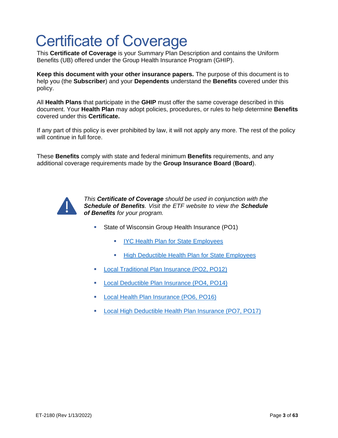# Certificate of Coverage

This **Certificate of Coverage** is your Summary Plan Description and contains the Uniform Benefits (UB) offered under the Group Health Insurance Program (GHIP).

**Keep this document with your other insurance papers.** The purpose of this document is to help you (the **Subscriber**) and your **Dependents** understand the **Benefits** covered under this policy.

All **Health Plans** that participate in the **GHIP** must offer the same coverage described in this document. Your **Health Plan** may adopt policies, procedures, or rules to help determine **Benefits** covered under this **Certificate.**

If any part of this policy is ever prohibited by law, it will not apply any more. The rest of the policy will continue in full force.

These **Benefits** comply with state and federal minimum **Benefits** requirements, and any additional coverage requirements made by the **Group Insurance Board** (**Board**).



*This Certificate of Coverage should be used in conjunction with the Schedule of Benefits. Visit the ETF website to view the Schedule of Benefits for your program.* 

- State of Wisconsin Group Health Insurance (PO1)
	- **[IYC Health Plan for State Employees](https://etf.wi.gov/resource/2022-schedule-benefits-iyc-health-plan-state-employees-po1)**
	- **E** [High Deductible Health Plan](https://etf.wi.gov/resource/2022-schedule-benefits-hdhp-state-employees-po1) for State Employees
- [Local Traditional Plan Insurance \(PO2, PO12\)](https://etf.wi.gov/resource/2022-schedule-benefits-local-traditional-plan-employees-po2-po12)
- [Local Deductible Plan Insurance \(PO4, PO14\)](https://etf.wi.gov/resource/2022-schedule-benefits-local-deductible-plan-employees-po4-po14)
- [Local Health Plan Insurance \(PO6, PO16\)](https://etf.wi.gov/resource/2022-schedule-benefits-local-health-plan-employees-po6-po16)
- [Local High Deductible Health Plan Insurance \(PO7, PO17\)](https://etf.wi.gov/resource/2022-schedule-benefits-local-hdhp-employees-po7-po17)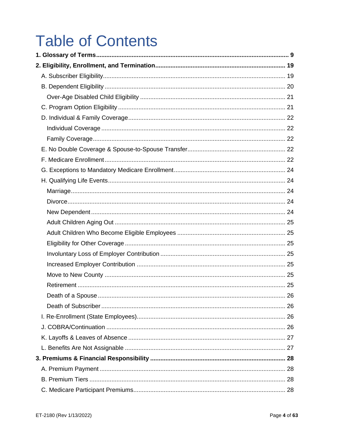# **Table of Contents**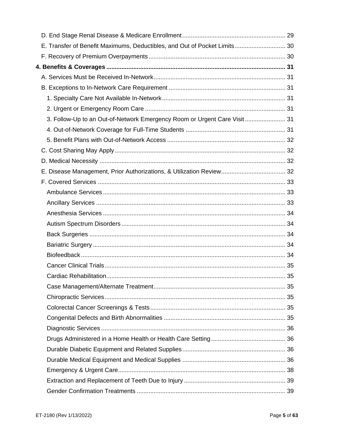| E. Transfer of Benefit Maximums, Deductibles, and Out of Pocket Limits 30 |  |
|---------------------------------------------------------------------------|--|
|                                                                           |  |
|                                                                           |  |
|                                                                           |  |
|                                                                           |  |
|                                                                           |  |
|                                                                           |  |
| 3. Follow-Up to an Out-of-Network Emergency Room or Urgent Care Visit 31  |  |
|                                                                           |  |
|                                                                           |  |
|                                                                           |  |
|                                                                           |  |
|                                                                           |  |
|                                                                           |  |
|                                                                           |  |
|                                                                           |  |
|                                                                           |  |
|                                                                           |  |
|                                                                           |  |
|                                                                           |  |
|                                                                           |  |
|                                                                           |  |
|                                                                           |  |
|                                                                           |  |
|                                                                           |  |
|                                                                           |  |
|                                                                           |  |
|                                                                           |  |
|                                                                           |  |
|                                                                           |  |
|                                                                           |  |
|                                                                           |  |
|                                                                           |  |
|                                                                           |  |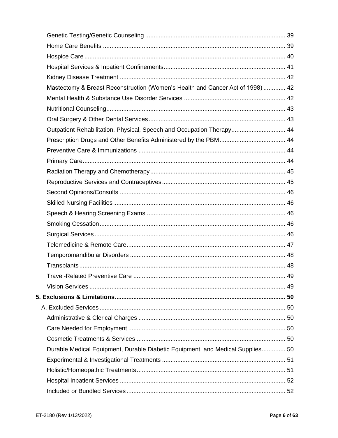| Mastectomy & Breast Reconstruction (Women's Health and Cancer Act of 1998)  42 |  |
|--------------------------------------------------------------------------------|--|
|                                                                                |  |
|                                                                                |  |
|                                                                                |  |
| Outpatient Rehabilitation, Physical, Speech and Occupation Therapy 44          |  |
|                                                                                |  |
|                                                                                |  |
|                                                                                |  |
|                                                                                |  |
|                                                                                |  |
|                                                                                |  |
|                                                                                |  |
|                                                                                |  |
|                                                                                |  |
|                                                                                |  |
|                                                                                |  |
|                                                                                |  |
|                                                                                |  |
|                                                                                |  |
|                                                                                |  |
|                                                                                |  |
|                                                                                |  |
|                                                                                |  |
|                                                                                |  |
|                                                                                |  |
| Durable Medical Equipment, Durable Diabetic Equipment, and Medical Supplies 50 |  |
|                                                                                |  |
|                                                                                |  |
|                                                                                |  |
|                                                                                |  |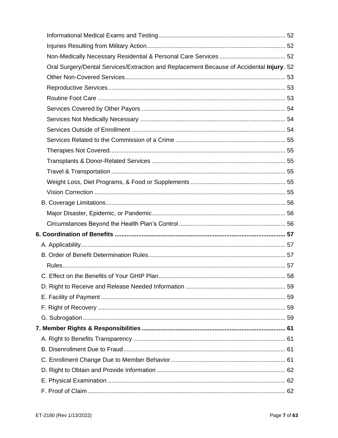| Oral Surgery/Dental Services/Extraction and Replacement Because of Accidental Injury. 52 |  |
|------------------------------------------------------------------------------------------|--|
|                                                                                          |  |
|                                                                                          |  |
|                                                                                          |  |
|                                                                                          |  |
|                                                                                          |  |
|                                                                                          |  |
|                                                                                          |  |
|                                                                                          |  |
|                                                                                          |  |
|                                                                                          |  |
|                                                                                          |  |
|                                                                                          |  |
|                                                                                          |  |
|                                                                                          |  |
|                                                                                          |  |
|                                                                                          |  |
|                                                                                          |  |
|                                                                                          |  |
|                                                                                          |  |
|                                                                                          |  |
|                                                                                          |  |
|                                                                                          |  |
|                                                                                          |  |
|                                                                                          |  |
|                                                                                          |  |
|                                                                                          |  |
|                                                                                          |  |
|                                                                                          |  |
|                                                                                          |  |
|                                                                                          |  |
|                                                                                          |  |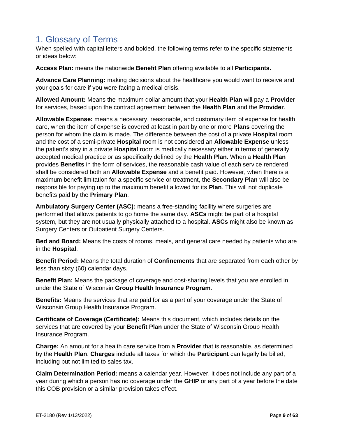# <span id="page-8-0"></span>1. Glossary of Terms

When spelled with capital letters and bolded, the following terms refer to the specific statements or ideas below:

**Access Plan:** means the nationwide **Benefit Plan** offering available to all **Participants.**

**Advance Care Planning:** making decisions about the healthcare you would want to receive and your goals for care if you were facing a medical crisis.

**Allowed Amount:** Means the maximum dollar amount that your **Health Plan** will pay a **Provider** for services, based upon the contract agreement between the **Health Plan** and the **Provider**.

**Allowable Expense:** means a necessary, reasonable, and customary item of expense for health care, when the item of expense is covered at least in part by one or more **Plans** covering the person for whom the claim is made. The difference between the cost of a private **Hospital** room and the cost of a semi-private **Hospital** room is not considered an **Allowable Expense** unless the patient's stay in a private **Hospital** room is medically necessary either in terms of generally accepted medical practice or as specifically defined by the **Health Plan**. When a **Health Plan** provides **Benefits** in the form of services, the reasonable cash value of each service rendered shall be considered both an **Allowable Expense** and a benefit paid. However, when there is a maximum benefit limitation for a specific service or treatment, the **Secondary Plan** will also be responsible for paying up to the maximum benefit allowed for its **Plan**. This will not duplicate benefits paid by the **Primary Plan**.

**Ambulatory Surgery Center (ASC):** means a free-standing facility where surgeries are performed that allows patients to go home the same day. **ASCs** might be part of a hospital system, but they are not usually physically attached to a hospital. **ASCs** might also be known as Surgery Centers or Outpatient Surgery Centers.

**Bed and Board:** Means the costs of rooms, meals, and general care needed by patients who are in the **Hospital**.

**Benefit Period:** Means the total duration of **Confinements** that are separated from each other by less than sixty (60) calendar days.

**Benefit Plan:** Means the package of coverage and cost-sharing levels that you are enrolled in under the State of Wisconsin **Group Health Insurance Program**.

**Benefits:** Means the services that are paid for as a part of your coverage under the State of Wisconsin Group Health Insurance Program.

**Certificate of Coverage (Certificate):** Means this document, which includes details on the services that are covered by your **Benefit Plan** under the State of Wisconsin Group Health Insurance Program.

**Charge:** An amount for a health care service from a **Provider** that is reasonable, as determined by the **Health Plan**. **Charges** include all taxes for which the **Participant** can legally be billed, including but not limited to sales tax.

**Claim Determination Period:** means a calendar year. However, it does not include any part of a year during which a person has no coverage under the **GHIP** or any part of a year before the date this COB provision or a similar provision takes effect.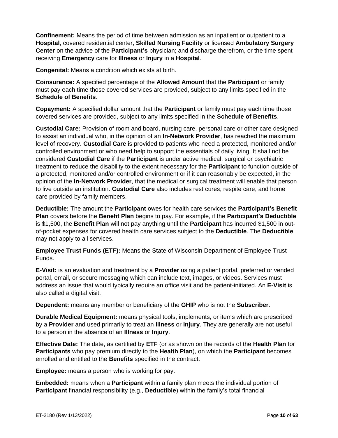**Confinement:** Means the period of time between admission as an inpatient or outpatient to a **Hospital**, covered residential center, **Skilled Nursing Facility** or licensed **Ambulatory Surgery Center** on the advice of the **Participant's** physician; and discharge therefrom, or the time spent receiving **Emergency** care for **Illness** or **Injury** in a **Hospital**.

**Congenital:** Means a condition which exists at birth.

**Coinsurance:** A specified percentage of the **Allowed Amount** that the **Participant** or family must pay each time those covered services are provided, subject to any limits specified in the **Schedule of Benefits**.

**Copayment:** A specified dollar amount that the **Participant** or family must pay each time those covered services are provided, subject to any limits specified in the **Schedule of Benefits**.

**Custodial Care:** Provision of room and board, nursing care, personal care or other care designed to assist an individual who, in the opinion of an **In-Network Provider**, has reached the maximum level of recovery. **Custodial Care** is provided to patients who need a protected, monitored and/or controlled environment or who need help to support the essentials of daily living. It shall not be considered **Custodial Care** if the **Participant** is under active medical, surgical or psychiatric treatment to reduce the disability to the extent necessary for the **Participant** to function outside of a protected, monitored and/or controlled environment or if it can reasonably be expected, in the opinion of the **In-Network Provider**, that the medical or surgical treatment will enable that person to live outside an institution. **Custodial Care** also includes rest cures, respite care, and home care provided by family members.

**Deductible:** The amount the **Participant** owes for health care services the **Participant's Benefit Plan** covers before the **Benefit Plan** begins to pay. For example, if the **Participant's Deductible** is \$1,500, the **Benefit Plan** will not pay anything until the **Participant** has incurred \$1,500 in outof-pocket expenses for covered health care services subject to the **Deductible**. The **Deductible** may not apply to all services.

**Employee Trust Funds (ETF):** Means the State of Wisconsin Department of Employee Trust Funds.

**E-Visit:** is an evaluation and treatment by a **Provider** using a patient portal, preferred or vended portal, email, or secure messaging which can include text, images, or videos. Services must address an issue that would typically require an office visit and be patient-initiated. An **E-Visit** is also called a digital visit.

**Dependent:** means any member or beneficiary of the **GHIP** who is not the **Subscriber**.

**Durable Medical Equipment:** means physical tools, implements, or items which are prescribed by a **Provider** and used primarily to treat an **Illness** or **Injury**. They are generally are not useful to a person in the absence of an **Illness** or **Injury**.

**Effective Date:** The date, as certified by **ETF** (or as shown on the records of the **Health Plan** for **Participants** who pay premium directly to the **Health Plan**), on which the **Participant** becomes enrolled and entitled to the **Benefits** specified in the contract.

**Employee:** means a person who is working for pay.

**Embedded:** means when a **Participant** within a family plan meets the individual portion of **Participant** financial responsibility (e.g., **Deductible**) within the family's total financial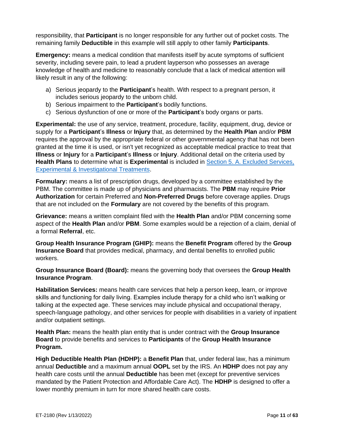responsibility, that **Participant** is no longer responsible for any further out of pocket costs. The remaining family **Deductible** in this example will still apply to other family **Participants**.

**Emergency:** means a medical condition that manifests itself by acute symptoms of sufficient severity, including severe pain, to lead a prudent layperson who possesses an average knowledge of health and medicine to reasonably conclude that a lack of medical attention will likely result in any of the following:

- a) Serious jeopardy to the **Participant**'s health. With respect to a pregnant person, it includes serious jeopardy to the unborn child.
- b) Serious impairment to the **Participant**'s bodily functions.
- c) Serious dysfunction of one or more of the **Participant**'s body organs or parts.

**Experimental:** the use of any service, treatment, procedure, facility, equipment, drug, device or supply for a **Participant**'s **Illness** or **Injury** that, as determined by the **Health Plan** and/or **PBM** requires the approval by the appropriate federal or other governmental agency that has not been granted at the time it is used, or isn't yet recognized as acceptable medical practice to treat that **Illness** or **Injury** for a **Participant**'s **Illness** or **Injury**. Additional detail on the criteria used by **Health Plans** to determine what is **Experimental** is included in [Section 5. A. Excluded Services,](#page-54-5)  [Experimental & Investigational Treatments.](#page-54-5)

**Formulary:** means a list of prescription drugs, developed by a committee established by the PBM. The committee is made up of physicians and pharmacists. The **PBM** may require **Prior Authorization** for certain Preferred and **Non-Preferred Drugs** before coverage applies. Drugs that are not included on the **Formulary** are not covered by the benefits of this program.

**Grievance:** means a written complaint filed with the **Health Plan** and/or PBM concerning some aspect of the **Health Plan** and/or **PBM**. Some examples would be a rejection of a claim, denial of a formal **Referral**, etc.

**Group Health Insurance Program (GHIP):** means the **Benefit Program** offered by the **Group Insurance Board** that provides medical, pharmacy, and dental benefits to enrolled public workers.

**Group Insurance Board (Board):** means the governing body that oversees the **Group Health Insurance Program**.

**Habilitation Services:** means health care services that help a person keep, learn, or improve skills and functioning for daily living. Examples include therapy for a child who isn't walking or talking at the expected age. These services may include physical and occupational therapy, speech-language pathology, and other services for people with disabilities in a variety of inpatient and/or outpatient settings.

**Health Plan:** means the health plan entity that is under contract with the **Group Insurance Board** to provide benefits and services to **Participants** of the **Group Health Insurance Program.**

**High Deductible Health Plan (HDHP):** a **Benefit Plan** that, under federal law, has a minimum annual **Deductible** and a maximum annual **OOPL** set by the IRS. An **HDHP** does not pay any health care costs until the annual **Deductible** has been met (except for preventive services mandated by the Patient Protection and Affordable Care Act). The **HDHP** is designed to offer a lower monthly premium in turn for more shared health care costs.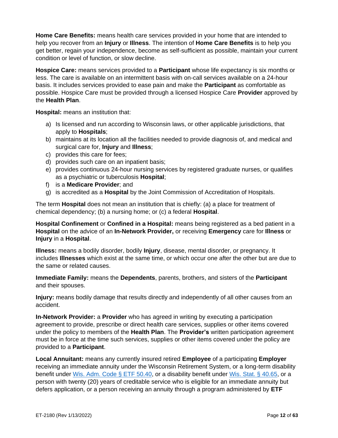**Home Care Benefits:** means health care services provided in your home that are intended to help you recover from an **Injury** or **Illness**. The intention of **Home Care Benefits** is to help you get better, regain your independence, become as self-sufficient as possible, maintain your current condition or level of function, or slow decline.

**Hospice Care:** means services provided to a **Participant** whose life expectancy is six months or less. The care is available on an intermittent basis with on-call services available on a 24-hour basis. It includes services provided to ease pain and make the **Participant** as comfortable as possible. Hospice Care must be provided through a licensed Hospice Care **Provider** approved by the **Health Plan**.

**Hospital:** means an institution that:

- a) Is licensed and run according to Wisconsin laws, or other applicable jurisdictions, that apply to **Hospitals**;
- b) maintains at its location all the facilities needed to provide diagnosis of, and medical and surgical care for, **Injury** and **Illness**;
- c) provides this care for fees;
- d) provides such care on an inpatient basis;
- e) provides continuous 24-hour nursing services by registered graduate nurses, or qualifies as a psychiatric or tuberculosis **Hospital**;
- f) is a **Medicare Provider**; and
- g) is accredited as a **Hospital** by the Joint Commission of Accreditation of Hospitals.

The term **Hospital** does not mean an institution that is chiefly: (a) a place for treatment of chemical dependency; (b) a nursing home; or (c) a federal **Hospital**.

**Hospital Confinement** or **Confined in a Hospital:** means being registered as a bed patient in a **Hospital** on the advice of an **In-Network Provider,** or receiving **Emergency** care for **Illness** or **Injury** in a **Hospital**.

**Illness:** means a bodily disorder, bodily **Injury**, disease, mental disorder, or pregnancy. It includes **Illnesses** which exist at the same time, or which occur one after the other but are due to the same or related causes.

**Immediate Family:** means the **Dependents**, parents, brothers, and sisters of the **Participant** and their spouses.

**Injury:** means bodily damage that results directly and independently of all other causes from an accident.

**In-Network Provider:** a **Provider** who has agreed in writing by executing a participation agreement to provide, prescribe or direct health care services, supplies or other items covered under the policy to members of the **Health Plan**. The **Provider's** written participation agreement must be in force at the time such services, supplies or other items covered under the policy are provided to a **Participant**.

**Local Annuitant:** means any currently insured retired **Employee** of a participating **Employer** receiving an immediate annuity under the Wisconsin Retirement System, or a long-term disability benefit under [Wis. Adm. Code § ETF 50.40,](http://docs.legis.wisconsin.gov/code/admin_code/etf/50/III/40) or a disability benefit under [Wis. Stat. § 40.65,](https://docs.legis.wisconsin.gov/statutes/statutes/40/V/65) or a person with twenty (20) years of creditable service who is eligible for an immediate annuity but defers application, or a person receiving an annuity through a program administered by **ETF**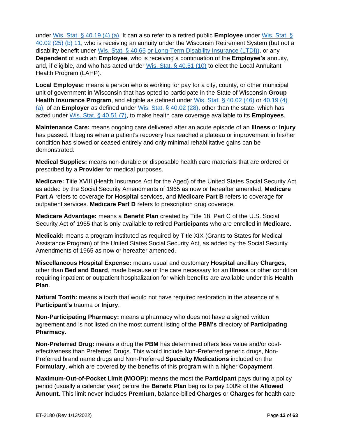under [Wis. Stat. § 40.19 \(4\) \(a\).](https://docs.legis.wisconsin.gov/statutes/statutes/40/I/19/4/a) It can also refer to a retired public **Employee** under [Wis. Stat. §](http://docs.legis.wisconsin.gov/statutes/statutes/40/I/02/25/b/11)  [40.02 \(25\) \(b\) 11,](http://docs.legis.wisconsin.gov/statutes/statutes/40/I/02/25/b/11) who is receiving an annuity under the Wisconsin Retirement System (but not a disability benefit under [Wis. Stat. § 40.65](https://docs.legis.wisconsin.gov/statutes/statutes/40/V/65) or Long-Term Disability Insurance (LTDI)), or any **Dependent** of such an **Employee**, who is receiving a continuation of the **Employee's** annuity, and, if eligible, and who has acted under [Wis. Stat. § 40.51 \(10\)](http://docs.legis.wisconsin.gov/document/statutes/40.51(10)) to elect the Local Annuitant Health Program (LAHP).

**Local Employee:** means a person who is working for pay for a city, county, or other municipal unit of government in Wisconsin that has opted to participate in the State of Wisconsin **Group Health Insurance Program**, and eligible as defined under [Wis. Stat. § 40.02 \(46\)](https://docs.legis.wisconsin.gov/statutes/statutes/40/I/02/46) or [40.19 \(4\)](https://docs.legis.wisconsin.gov/statutes/statutes/40/I/19/4/a)  [\(a\),](https://docs.legis.wisconsin.gov/statutes/statutes/40/I/19/4/a) of an **Employer** as defined under [Wis. Stat. § 40.02 \(28\),](https://docs.legis.wisconsin.gov/statutes/statutes/40/I/02/28) other than the state, which has acted under [Wis. Stat. § 40.51 \(7\),](https://docs.legis.wisconsin.gov/statutes/statutes/40/IV/51/7) to make health care coverage available to its **Employees**.

**Maintenance Care:** means ongoing care delivered after an acute episode of an **Illness** or **Injury** has passed. It begins when a patient's recovery has reached a plateau or improvement in his/her condition has slowed or ceased entirely and only minimal rehabilitative gains can be demonstrated.

**Medical Supplies:** means non-durable or disposable health care materials that are ordered or prescribed by a **Provider** for medical purposes.

**Medicare:** Title XVIII (Health Insurance Act for the Aged) of the United States Social Security Act, as added by the Social Security Amendments of 1965 as now or hereafter amended. **Medicare Part A** refers to coverage for **Hospital** services, and **Medicare Part B** refers to coverage for outpatient services. **Medicare Part D** refers to prescription drug coverage.

**Medicare Advantage:** means a **Benefit Plan** created by Title 18, Part C of the U.S. Social Security Act of 1965 that is only available to retired **Participants** who are enrolled in **Medicare.**

**Medicaid:** means a program instituted as required by Title XIX (Grants to States for Medical Assistance Program) of the United States Social Security Act, as added by the Social Security Amendments of 1965 as now or hereafter amended.

**Miscellaneous Hospital Expense:** means usual and customary **Hospital** ancillary **Charges**, other than **Bed and Board**, made because of the care necessary for an **Illness** or other condition requiring inpatient or outpatient hospitalization for which benefits are available under this **Health Plan**.

**Natural Tooth:** means a tooth that would not have required restoration in the absence of a **Participant's** trauma or **Injury**.

**Non-Participating Pharmacy:** means a pharmacy who does not have a signed written agreement and is not listed on the most current listing of the **PBM's** directory of **Participating Pharmacy.**

**Non-Preferred Drug:** means a drug the **PBM** has determined offers less value and/or costeffectiveness than Preferred Drugs. This would include Non-Preferred generic drugs, Non-Preferred brand name drugs and Non-Preferred **Specialty Medications** included on the **Formulary**, which are covered by the benefits of this program with a higher **Copayment**.

**Maximum-Out-of-Pocket Limit (MOOP):** means the most the **Participant** pays during a policy period (usually a calendar year) before the **Benefit Plan** begins to pay 100% of the **Allowed Amount**. This limit never includes **Premium**, balance-billed **Charges** or **Charges** for health care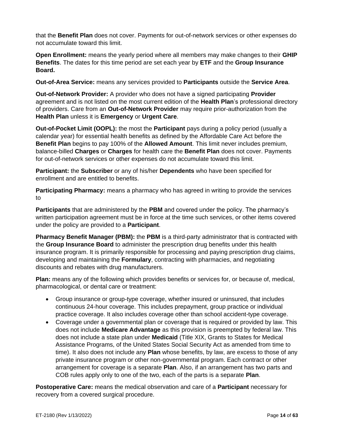that the **Benefit Plan** does not cover. Payments for out-of-network services or other expenses do not accumulate toward this limit.

**Open Enrollment:** means the yearly period where all members may make changes to their **GHIP Benefits**. The dates for this time period are set each year by **ETF** and the **Group Insurance Board.**

**Out-of-Area Service:** means any services provided to **Participants** outside the **Service Area**.

**Out-of-Network Provider:** A provider who does not have a signed participating **Provider** agreement and is not listed on the most current edition of the **Health Plan**'s professional directory of providers. Care from an **Out-of-Network Provider** may require prior-authorization from the **Health Plan** unless it is **Emergency** or **Urgent Care**.

**Out-of-Pocket Limit (OOPL):** the most the **Participant** pays during a policy period (usually a calendar year) for essential health benefits as defined by the Affordable Care Act before the **Benefit Plan** begins to pay 100% of the **Allowed Amount**. This limit never includes premium, balance-billed **Charges** or **Charges** for health care the **Benefit Plan** does not cover. Payments for out-of-network services or other expenses do not accumulate toward this limit.

**Participant:** the **Subscriber** or any of his/her **Dependents** who have been specified for enrollment and are entitled to benefits.

**Participating Pharmacy:** means a pharmacy who has agreed in writing to provide the services to

**Participants** that are administered by the **PBM** and covered under the policy. The pharmacy's written participation agreement must be in force at the time such services, or other items covered under the policy are provided to a **Participant**.

**Pharmacy Benefit Manager (PBM):** the **PBM** is a third-party administrator that is contracted with the **Group Insurance Board** to administer the prescription drug benefits under this health insurance program. It is primarily responsible for processing and paying prescription drug claims, developing and maintaining the **Formulary**, contracting with pharmacies, and negotiating discounts and rebates with drug manufacturers.

**Plan:** means any of the following which provides benefits or services for, or because of, medical, pharmacological, or dental care or treatment:

- Group insurance or group-type coverage, whether insured or uninsured, that includes continuous 24-hour coverage. This includes prepayment, group practice or individual practice coverage. It also includes coverage other than school accident-type coverage.
- Coverage under a governmental plan or coverage that is required or provided by law. This does not include **Medicare Advantage** as this provision is preempted by federal law. This does not include a state plan under **Medicaid** (Title XIX, Grants to States for Medical Assistance Programs, of the United States Social Security Act as amended from time to time). It also does not include any **Plan** whose benefits, by law, are excess to those of any private insurance program or other non-governmental program. Each contract or other arrangement for coverage is a separate **Plan**. Also, if an arrangement has two parts and COB rules apply only to one of the two, each of the parts is a separate **Plan**.

**Postoperative Care:** means the medical observation and care of a **Participant** necessary for recovery from a covered surgical procedure.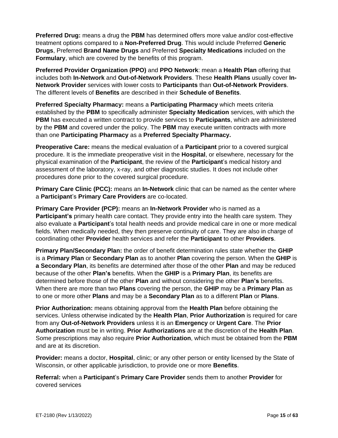**Preferred Drug:** means a drug the **PBM** has determined offers more value and/or cost-effective treatment options compared to a **Non-Preferred Drug**. This would include Preferred **Generic Drugs**, Preferred **Brand Name Drugs** and Preferred **Specialty Medications** included on the **Formulary**, which are covered by the benefits of this program.

**Preferred Provider Organization (PPO)** and **PPO Network**: mean a **Health Plan** offering that includes both **In-Network** and **Out-of-Network Providers**. These **Health Plans** usually cover **In-Network Provider** services with lower costs to **Participants** than **Out-of-Network Providers**. The different levels of **Benefits** are described in their **Schedule of Benefits**.

**Preferred Specialty Pharmacy:** means a **Participating Pharmacy** which meets criteria established by the **PBM** to specifically administer **Specialty Medication** services, with which the **PBM** has executed a written contract to provide services to **Participants**, which are administered by the **PBM** and covered under the policy. The **PBM** may execute written contracts with more than one **Participating Pharmacy** as a **Preferred Specialty Pharmacy.**

**Preoperative Care:** means the medical evaluation of a **Participant** prior to a covered surgical procedure. It is the immediate preoperative visit in the **Hospital**, or elsewhere, necessary for the physical examination of the **Participant**, the review of the **Participant**'s medical history and assessment of the laboratory, x-ray, and other diagnostic studies. It does not include other procedures done prior to the covered surgical procedure.

**Primary Care Clinic (PCC):** means an **In-Network** clinic that can be named as the center where a **Participant**'s **Primary Care Providers** are co-located.

**Primary Care Provider (PCP):** means an **In-Network Provider** who is named as a **Participant's** primary health care contact. They provide entry into the health care system. They also evaluate a **Participant**'s total health needs and provide medical care in one or more medical fields. When medically needed, they then preserve continuity of care. They are also in charge of coordinating other **Provider** health services and refer the **Participant** to other **Providers**.

**Primary Plan/Secondary Plan:** the order of benefit determination rules state whether the **GHIP** is a **Primary Plan** or **Secondary Plan** as to another **Plan** covering the person. When the **GHIP** is **a Secondary Plan**, its benefits are determined after those of the other **Plan** and may be reduced because of the other **Plan's** benefits. When the **GHIP** is a **Primary Plan**, its benefits are determined before those of the other **Plan** and without considering the other **Plan's** benefits. When there are more than two **Plans** covering the person, the **GHIP** may be a **Primary Plan** as to one or more other **Plans** and may be a **Secondary Plan** as to a different **Plan** or **Plans**.

**Prior Authorization:** means obtaining approval from the **Health Plan** before obtaining the services. Unless otherwise indicated by the **Health Plan**, **Prior Authorization** is required for care from any **Out-of-Network Providers** unless it is an **Emergency** or **Urgent Care**. The **Prior Authorization** must be in writing. **Prior Authorizations** are at the discretion of the **Health Plan**. Some prescriptions may also require **Prior Authorization**, which must be obtained from the **PBM** and are at its discretion.

**Provider:** means a doctor, **Hospital**, clinic; or any other person or entity licensed by the State of Wisconsin, or other applicable jurisdiction, to provide one or more **Benefits**.

**Referral:** when a **Participant**'s **Primary Care Provider** sends them to another **Provider** for covered services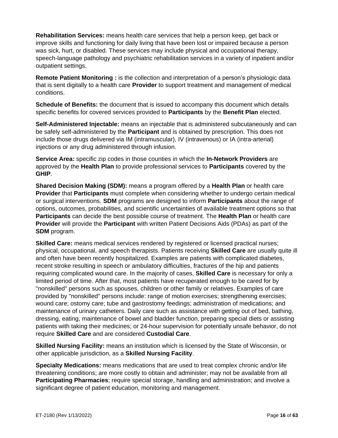**Rehabilitation Services:** means health care services that help a person keep, get back or improve skills and functioning for daily living that have been lost or impaired because a person was sick, hurt, or disabled. These services may include physical and occupational therapy, speech-language pathology and psychiatric rehabilitation services in a variety of inpatient and/or outpatient settings.

**Remote Patient Monitoring :** is the collection and interpretation of a person's physiologic data that is sent digitally to a health care **Provider** to support treatment and management of medical conditions.

**Schedule of Benefits:** the document that is issued to accompany this document which details specific benefits for covered services provided to **Participants** by the **Benefit Plan** elected.

**Self-Administered Injectable:** means an injectable that is administered subcutaneously and can be safely self-administered by the **Participant** and is obtained by prescription. This does not include those drugs delivered via IM (intramuscular), IV (intravenous) or IA (intra-arterial) injections or any drug administered through infusion.

**Service Area:** specific zip codes in those counties in which the **In-Network Providers** are approved by the **Health Plan** to provide professional services to **Participants** covered by the **GHIP**.

**Shared Decision Making (SDM):** means a program offered by a **Health Plan** or health care **Provider** that **Participants** must complete when considering whether to undergo certain medical or surgical interventions. **SDM** programs are designed to inform **Participants** about the range of options, outcomes, probabilities, and scientific uncertainties of available treatment options so that **Participants** can decide the best possible course of treatment. The **Health Plan** or health care **Provider** will provide the **Participant** with written Patient Decisions Aids (PDAs) as part of the **SDM** program.

**Skilled Care:** means medical services rendered by registered or licensed practical nurses; physical, occupational, and speech therapists. Patients receiving **Skilled Care** are usually quite ill and often have been recently hospitalized. Examples are patients with complicated diabetes, recent stroke resulting in speech or ambulatory difficulties, fractures of the hip and patients requiring complicated wound care. In the majority of cases, **Skilled Care** is necessary for only a limited period of time. After that, most patients have recuperated enough to be cared for by "nonskilled" persons such as spouses, children or other family or relatives. Examples of care provided by "nonskilled" persons include: range of motion exercises; strengthening exercises; wound care; ostomy care; tube and gastrostomy feedings; administration of medications; and maintenance of urinary catheters. Daily care such as assistance with getting out of bed, bathing, dressing, eating, maintenance of bowel and bladder function, preparing special diets or assisting patients with taking their medicines; or 24-hour supervision for potentially unsafe behavior, do not require **Skilled Care** and are considered **Custodial Care**.

**Skilled Nursing Facility:** means an institution which is licensed by the State of Wisconsin, or other applicable jurisdiction, as a **Skilled Nursing Facility**.

**Specialty Medications:** means medications that are used to treat complex chronic and/or life threatening conditions; are more costly to obtain and administer; may not be available from all **Participating Pharmacies**; require special storage, handling and administration; and involve a significant degree of patient education, monitoring and management.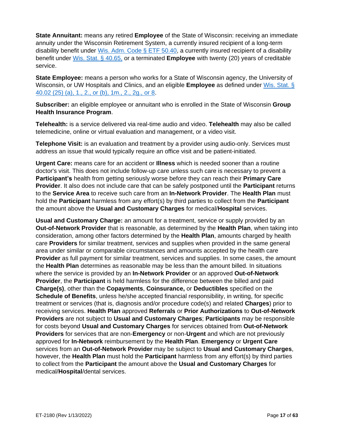**State Annuitant:** means any retired **Employee** of the State of Wisconsin: receiving an immediate annuity under the Wisconsin Retirement System, a currently insured recipient of a long-term disability benefit under Wis. Adm. Code  $\S$  ETF 50.40, a currently insured recipient of a disability benefit under [Wis. Stat. § 40.65,](https://docs.legis.wisconsin.gov/statutes/statutes/40/V/65) or a terminated **Employee** with twenty (20) years of creditable service.

**State Employee:** means a person who works for a State of Wisconsin agency, the University of Wisconsin, or UW Hospitals and Clinics, and an eligible **Employee** as defined under [Wis. Stat. §](https://docs.legis.wisconsin.gov/statutes/statutes/40/I/02/25)  [40.02 \(25\) \(a\), 1., 2., or \(b\), 1m., 2., 2g., or 8.](https://docs.legis.wisconsin.gov/statutes/statutes/40/I/02/25)

**Subscriber:** an eligible employee or annuitant who is enrolled in the State of Wisconsin **Group Health Insurance Program**.

**Telehealth:** is a service delivered via real-time audio and video. **Telehealth** may also be called telemedicine, online or virtual evaluation and management, or a video visit.

**Telephone Visit:** is an evaluation and treatment by a provider using audio-only. Services must address an issue that would typically require an office visit and be patient-initiated.

**Urgent Care:** means care for an accident or **Illness** which is needed sooner than a routine doctor's visit. This does not include follow-up care unless such care is necessary to prevent a **Participant's** health from getting seriously worse before they can reach their **Primary Care Provider**. It also does not include care that can be safely postponed until the **Participant** returns to the **Service Area** to receive such care from an **In-Network Provider**. The **Health Plan** must hold the **Participant** harmless from any effort(s) by third parties to collect from the **Participant** the amount above the **Usual and Customary Charges** for medical/**Hospital** services.

**Usual and Customary Charge:** an amount for a treatment, service or supply provided by an **Out-of-Network Provider** that is reasonable, as determined by the **Health Plan**, when taking into consideration, among other factors determined by the **Health Plan**, amounts charged by health care **Providers** for similar treatment, services and supplies when provided in the same general area under similar or comparable circumstances and amounts accepted by the health care **Provider** as full payment for similar treatment, services and supplies. In some cases, the amount the **Health Plan** determines as reasonable may be less than the amount billed. In situations where the service is provided by an **In-Network Provider** or an approved **Out-of-Network Provider**, the **Participant** is held harmless for the difference between the billed and paid **Charge(s)**, other than the **Copayments**, **Coinsurance,** or **Deductibles** specified on the **Schedule of Benefits**, unless he/she accepted financial responsibility, in writing, for specific treatment or services (that is, diagnosis and/or procedure code(s) and related **Charges**) prior to receiving services. **Health Plan** approved **Referrals** or **Prior Authorizations** to **Out-of-Network Providers** are not subject to **Usual and Customary Charges**; **Participants** may be responsible for costs beyond **Usual and Customary Charges** for services obtained from **Out-of-Network Providers** for services that are non-**Emergency** or non-**Urgent** and which are not previously approved for **In-Network** reimbursement by the **Health Plan**. **Emergency** or **Urgent Care** services from an **Out-of-Network Provider** may be subject to **Usual and Customary Charges**, however, the **Health Plan** must hold the **Participant** harmless from any effort(s) by third parties to collect from the **Participant** the amount above the **Usual and Customary Charges** for medical/**Hospital**/dental services.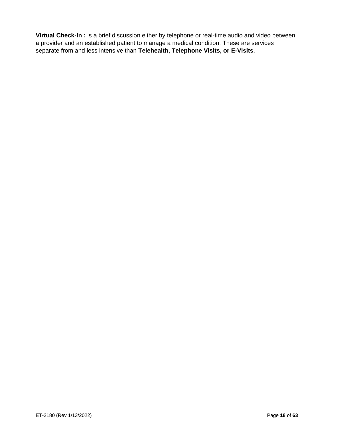**Virtual Check-In :** is a brief discussion either by telephone or real-time audio and video between a provider and an established patient to manage a medical condition. These are services separate from and less intensive than **Telehealth, Telephone Visits, or E-Visits**.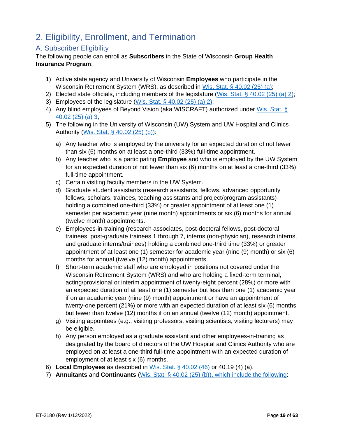# <span id="page-18-0"></span>2. Eligibility, Enrollment, and Termination

# <span id="page-18-1"></span>A. Subscriber Eligibility

The following people can enroll as **Subscribers** in the State of Wisconsin **Group Health Insurance Program**:

- 1) Active state agency and University of Wisconsin **Employees** who participate in the Wisconsin Retirement System (WRS), as described in [Wis. Stat. § 40.02 \(25\) \(a\);](http://docs.legis.wisconsin.gov/statutes/statutes/40/I/02/25/a)
- 2) Elected state officials, including members of the legislature [\(Wis. Stat. § 40.02 \(25\) \(a\)](http://docs.legis.wisconsin.gov/statutes/statutes/40/I/02/25/a) 2);
- 3) Employees of the legislature [\(Wis. Stat. § 40.02 \(25\) \(a\)](http://docs.legis.wisconsin.gov/statutes/statutes/40/I/02/25/a) 2);
- 4) Any blind employees of Beyond Vision (aka WISCRAFT) authorized under Wis. Stat. § [40.02 \(25\) \(a\) 3;](http://docs.legis.wisconsin.gov/document/statutes/40.02(25)(a)3.)
- 5) The following in the University of Wisconsin (UW) System and UW Hospital and Clinics Authority [\(Wis. Stat. § 40.02 \(25\) \(b\)\)](http://docs.legis.wisconsin.gov/statutes/statutes/40/I/02/25/b):
	- a) Any teacher who is employed by the university for an expected duration of not fewer than six (6) months on at least a one-third (33%) full-time appointment.
	- b) Any teacher who is a participating **Employee** and who is employed by the UW System for an expected duration of not fewer than six (6) months on at least a one-third (33%) full-time appointment.
	- c) Certain visiting faculty members in the UW System.
	- d) Graduate student assistants (research assistants, fellows, advanced opportunity fellows, scholars, trainees, teaching assistants and project/program assistants) holding a combined one-third (33%) or greater appointment of at least one (1) semester per academic year (nine month) appointments or six (6) months for annual (twelve month) appointments.
	- e) Employees-in-training (research associates, post-doctoral fellows, post-doctoral trainees, post-graduate trainees 1 through 7, interns (non-physician), research interns, and graduate interns/trainees) holding a combined one-third time (33%) or greater appointment of at least one (1) semester for academic year (nine (9) month) or six (6) months for annual (twelve (12) month) appointments.
	- f) Short-term academic staff who are employed in positions not covered under the Wisconsin Retirement System (WRS) and who are holding a fixed-term terminal, acting/provisional or interim appointment of twenty-eight percent (28%) or more with an expected duration of at least one (1) semester but less than one (1) academic year if on an academic year (nine (9) month) appointment or have an appointment of twenty-one percent (21%) or more with an expected duration of at least six (6) months but fewer than twelve (12) months if on an annual (twelve (12) month) appointment.
	- g) Visiting appointees (e.g., visiting professors, visiting scientists, visiting lecturers) may be eligible.
	- h) Any person employed as a graduate assistant and other employees-in-training as designated by the board of directors of the UW Hospital and Clinics Authority who are employed on at least a one-third full-time appointment with an expected duration of employment of at least six (6) months.
- 6) **Local Employees** as described in [Wis. Stat. § 40.02 \(46\)](http://docs.legis.wisconsin.gov/statutes/statutes/40/I/02/46) or [40.19 \(4\) \(a\).](http://docs.legis.wisconsin.gov/statutes/statutes/40/I/19/4/a)
- 7) **Annuitants** and **Continuants** [\(Wis. Stat. § 40.02 \(25\) \(b\)\)](http://docs.legis.wisconsin.gov/statutes/statutes/40/I/02/25/b), which include the following: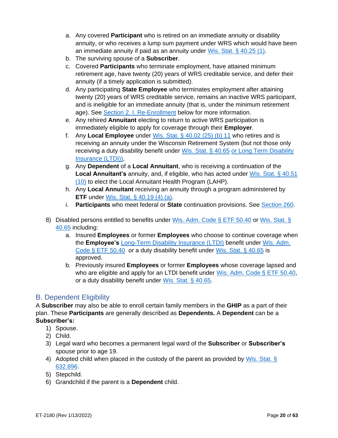- a. Any covered **Participant** who is retired on an immediate annuity or disability annuity, or who receives a lump sum payment under WRS which would have been an immediate annuity if paid as an annuity under [Wis. Stat. § 40.25 \(1\).](https://docs.legis.wisconsin.gov/statutes/statutes/40/II/25/1)
- b. The surviving spouse of a **Subscriber**.
- c. Covered **Participants** who terminate employment, have attained minimum retirement age, have twenty (20) years of WRS creditable service, and defer their annuity (if a timely application is submitted).
- d. Any participating **State Employee** who terminates employment after attaining twenty (20) years of WRS creditable service, remains an inactive WRS participant, and is ineligible for an immediate annuity (that is, under the minimum retirement age). See [Section 2. I. Re-Enrollment](#page-25-2) below for more information.
- e. Any rehired **Annuitant** electing to return to active WRS participation is immediately eligible to apply for coverage through their **Employer**.
- f. Any **Local Employee** under [Wis. Stat. § 40.02 \(25\) \(b\) 11](http://docs.legis.wisconsin.gov/statutes/statutes/40/I/02/25/b/11) who retires and is receiving an annuity under the Wisconsin Retirement System (but not those only receiving a duty disability benefit under [Wis. Stat. § 40.65](https://docs.legis.wisconsin.gov/statutes/statutes/40/V/65) or Long Term Disability Insurance (LTDI)),
- g. Any **Dependent** of a **Local Annuitant**, who is receiving a continuation of the **Local Annuitant's** annuity, and, if eligible, who has acted under [Wis. Stat. § 40.51](http://docs.legis.wisconsin.gov/document/statutes/40.51(10))  [\(10\)](http://docs.legis.wisconsin.gov/document/statutes/40.51(10)) to elect the Local Annuitant Health Program (LAHP).
- h. Any **Local Annuitant** receiving an annuity through a program administered by **ETF** under [Wis. Stat. § 40.19 \(4\) \(a\).](http://docs.legis.wisconsin.gov/statutes/statutes/40/I/19/4/a)
- i. **Participants** who meet federal or **State** continuation provisions. See Section 260.
- 8) Disabled persons entitled to benefits under [Wis. Adm. Code §](http://docs.legis.wisconsin.gov/code/admin_code/etf/50/III/40) ETF 50.40 or [Wis. Stat. §](https://docs.legis.wisconsin.gov/statutes/statutes/40/V/65)  [40.65](https://docs.legis.wisconsin.gov/statutes/statutes/40/V/65) including:
	- a. Insured **Employees** or former **Employees** who choose to continue coverage when the **Employee's** Long-Term Disability Insurance (LTDI) benefit under [Wis. Adm.](http://docs.legis.wisconsin.gov/code/admin_code/etf/50/III/40)  [Code § ETF 50.40](http://docs.legis.wisconsin.gov/code/admin_code/etf/50/III/40) or a duty disability benefit under [Wis. Stat. § 40.65](https://docs.legis.wisconsin.gov/statutes/statutes/40/V/65) is approved.
	- b. Previously insured **Employees** or former **Employees** whose coverage lapsed and who are eligible and apply for an LTDI benefit under [Wis. Adm. Code § ETF 50.40,](http://docs.legis.wisconsin.gov/code/admin_code/etf/50/III/40) or a duty disability benefit under [Wis. Stat. § 40.65.](https://docs.legis.wisconsin.gov/statutes/statutes/40/V/65)

# <span id="page-19-0"></span>B. Dependent Eligibility

A **Subscriber** may also be able to enroll certain family members in the **GHIP** as a part of their plan. These **Participants** are generally described as **Dependents.** A **Dependent** can be a **Subscriber's:**

- 1) Spouse.
- 2) Child.
- 3) Legal ward who becomes a permanent legal ward of the **Subscriber** or **Subscriber's** spouse prior to age 19.
- 4) Adopted child when placed in the custody of the parent as provided by Wis. Stat. § [632.896.](https://docs.legis.wisconsin.gov/statutes/statutes/632/VI/896)
- 5) Stepchild.
- 6) Grandchild if the parent is a **Dependent** child.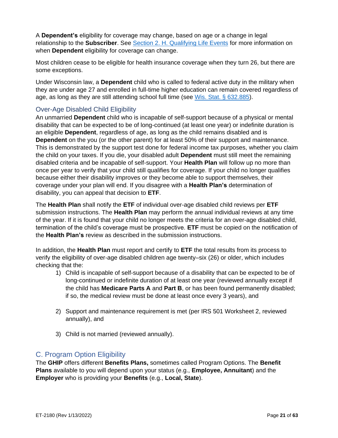A **Dependent's** eligibility for coverage may change, based on age or a change in legal relationship to the **Subscriber**. See Section 2. H. [Qualifying Life Events](#page-23-1) for more information on when **Dependent** eligibility for coverage can change.

Most children cease to be eligible for health insurance coverage when they turn 26, but there are some exceptions.

Under Wisconsin law, a **Dependent** child who is called to federal active duty in the military when they are under age 27 and enrolled in full-time higher education can remain covered regardless of age, as long as they are still attending school full time (see [Wis. Stat. § 632.885\)](https://docs.legis.wisconsin.gov/statutes/statutes/632/VI/885).

## <span id="page-20-0"></span>Over-Age Disabled Child Eligibility

An unmarried **Dependent** child who is incapable of self-support because of a physical or mental disability that can be expected to be of long-continued (at least one year) or indefinite duration is an eligible **Dependent**, regardless of age, as long as the child remains disabled and is **Dependent** on the you (or the other parent) for at least 50% of their support and maintenance. This is demonstrated by the support test done for federal income tax purposes, whether you claim the child on your taxes. If you die, your disabled adult **Dependent** must still meet the remaining disabled criteria and be incapable of self-support. Your **Health Plan** will follow up no more than once per year to verify that your child still qualifies for coverage. If your child no longer qualifies because either their disability improves or they become able to support themselves, their coverage under your plan will end. If you disagree with a **Health Plan's** determination of disability, you can appeal that decision to **ETF**.

The **Health Plan** shall notify the **ETF** of individual over-age disabled child reviews per **ETF** submission instructions. The **Health Plan** may perform the annual individual reviews at any time of the year. If it is found that your child no longer meets the criteria for an over-age disabled child, termination of the child's coverage must be prospective. **ETF** must be copied on the notification of the **Health Plan's** review as described in the submission instructions.

In addition, the **Health Plan** must report and certify to **ETF** the total results from its process to verify the eligibility of over-age disabled children age twenty–six (26) or older, which includes checking that the:

- 1) Child is incapable of self-support because of a disability that can be expected to be of long-continued or indefinite duration of at least one year (reviewed annually except if the child has **Medicare Parts A** and **Part B**, or has been found permanently disabled; if so, the medical review must be done at least once every 3 years), and
- 2) Support and maintenance requirement is met (per IRS 501 Worksheet 2, reviewed annually), and
- 3) Child is not married (reviewed annually).

# <span id="page-20-1"></span>C. Program Option Eligibility

The **GHIP** offers different **Benefits Plans,** sometimes called Program Options. The **Benefit Plans** available to you will depend upon your status (e.g., **Employee, Annuitant**) and the **Employer** who is providing your **Benefits** (e.g., **Local, State**).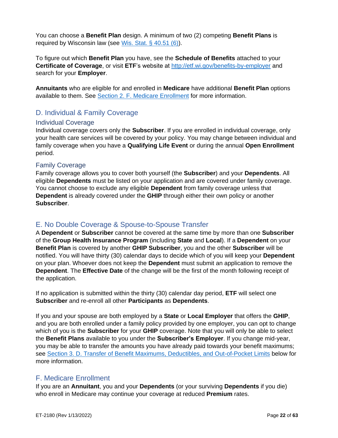You can choose a **Benefit Plan** design. A minimum of two (2) competing **Benefit Plans** is required by Wisconsin law (see [Wis. Stat. § 40.51 \(6\)\)](https://docs.legis.wisconsin.gov/statutes/statutes/40/IV/51/6).

To figure out which **Benefit Plan** you have, see the **Schedule of Benefits** attached to your **Certificate of Coverage**, or visit **ETF**'s website at<http://etf.wi.gov/benefits-by-employer> and search for your **Employer**.

**Annuitants** who are eligible for and enrolled in **Medicare** have additional **Benefit Plan** options available to them. See Section 2. F. [Medicare Enrollment](#page-21-4) for more information.

# <span id="page-21-0"></span>D. Individual & Family Coverage

#### <span id="page-21-1"></span>Individual Coverage

Individual coverage covers only the **Subscriber**. If you are enrolled in individual coverage, only your health care services will be covered by your policy. You may change between individual and family coverage when you have a **Qualifying Life Event** or during the annual **Open Enrollment** period.

#### <span id="page-21-2"></span>Family Coverage

Family coverage allows you to cover both yourself (the **Subscriber**) and your **Dependents**. All eligible **Dependents** must be listed on your application and are covered under family coverage. You cannot choose to exclude any eligible **Dependent** from family coverage unless that **Dependent** is already covered under the **GHIP** through either their own policy or another **Subscriber**.

#### <span id="page-21-3"></span>E. No Double Coverage & Spouse-to-Spouse Transfer

A **Dependent** or **Subscriber** cannot be covered at the same time by more than one **Subscriber** of the **Group Health Insurance Program** (including **State** and **Local**). If a **Dependent** on your **Benefit Plan** is covered by another **GHIP Subscriber**, you and the other **Subscriber** will be notified. You will have thirty (30) calendar days to decide which of you will keep your **Dependent** on your plan. Whoever does not keep the **Dependent** must submit an application to remove the **Dependent**. The **Effective Date** of the change will be the first of the month following receipt of the application.

If no application is submitted within the thirty (30) calendar day period, **ETF** will select one **Subscriber** and re-enroll all other **Participants** as **Dependents**.

If you and your spouse are both employed by a **State** or **Local Employer** that offers the **GHIP**, and you are both enrolled under a family policy provided by one employer, you can opt to change which of you is the **Subscriber** for your **GHIP** coverage. Note that you will only be able to select the **Benefit Plans** available to you under the **Subscriber's Employer**. If you change mid-year, you may be able to transfer the amounts you have already paid towards your benefit maximums; see [Section 3. D. Transfer of Benefit Maximums, Deductibles, and Out-of-Pocket Limits](#page-28-0) below for more information.

# <span id="page-21-4"></span>F. Medicare Enrollment

If you are an **Annuitant**, you and your **Dependents** (or your surviving **Dependents** if you die) who enroll in Medicare may continue your coverage at reduced **Premium** rates.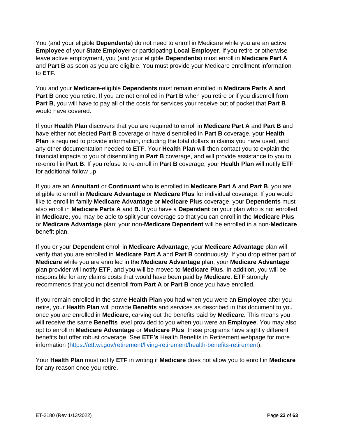You (and your eligible **Dependents**) do not need to enroll in Medicare while you are an active **Employee** of your **State Employer** or participating **Local Employer**. If you retire or otherwise leave active employment, you (and your eligible **Dependents**) must enroll in **Medicare Part A** and **Part B** as soon as you are eligible. You must provide your Medicare enrollment information to **ETF.**

You and your **Medicare-**eligible **Dependents** must remain enrolled in **Medicare Parts A and Part B** once you retire. If you are not enrolled in **Part B** when you retire or if you disenroll from **Part B**, you will have to pay all of the costs for services your receive out of pocket that **Part B**  would have covered.

If your **Health Plan** discovers that you are required to enroll in **Medicare Part A** and **Part B** and have either not elected **Part B** coverage or have disenrolled in **Part B** coverage, your **Health Plan** is required to provide information, including the total dollars in claims you have used, and any other documentation needed to **ETF**. Your **Health Plan** will then contact you to explain the financial impacts to you of disenrolling in **Part B** coverage, and will provide assistance to you to re-enroll in **Part B**. If you refuse to re-enroll in **Part B** coverage, your **Health Plan** will notify **ETF**  for additional follow up.

If you are an **Annuitant** or **Continuant** who is enrolled in **Medicare Part A** and **Part B**, you are eligible to enroll in **Medicare Advantage** or **Medicare Plus** for individual coverage. If you would like to enroll in family **Medicare Advantage** or **Medicare Plus** coverage, your **Dependents** must also enroll in **Medicare Parts A** and **B.** If you have a **Dependent** on your plan who is not enrolled in **Medicare**, you may be able to split your coverage so that you can enroll in the **Medicare Plus** or **Medicare Advantage** plan; your non-**Medicare Dependent** will be enrolled in a non-**Medicare**  benefit plan.

If you or your **Dependent** enroll in **Medicare Advantage**, your **Medicare Advantage** plan will verify that you are enrolled in **Medicare Part A** and **Part B** continuously. If you drop either part of **Medicare** while you are enrolled in the **Medicare Advantage** plan, your **Medicare Advantage**  plan provider will notify **ETF**, and you will be moved to **Medicare Plus**. In addition, you will be responsible for any claims costs that would have been paid by **Medicare**. **ETF** strongly recommends that you not disenroll from **Part A** or **Part B** once you have enrolled.

If you remain enrolled in the same **Health Plan** you had when you were an **Employee** after you retire, your **Health Plan** will provide **Benefits** and services as described in this document to you once you are enrolled in **Medicare**, carving out the benefits paid by **Medicare.** This means you will receive the same **Benefits** level provided to you when you were an **Employee**. You may also opt to enroll in **Medicare Advantage** or **Medicare Plus**; these programs have slightly different benefits but offer robust coverage. See **ETF's** Health Benefits in Retirement webpage for more information [\(https://etf.wi.gov/retirement/living-retirement/health-benefits-retirement\)](https://etf.wi.gov/retirement/living-retirement/health-benefits-retirement).

Your **Health Plan** must notify **ETF** in writing if **Medicare** does not allow you to enroll in **Medicare**  for any reason once you retire.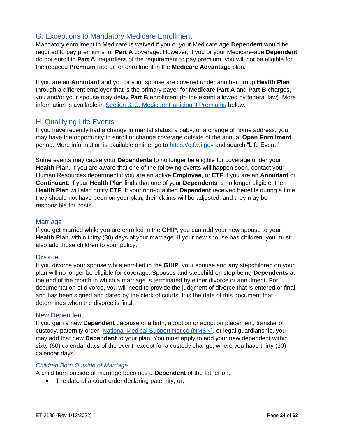# <span id="page-23-0"></span>G. Exceptions to Mandatory Medicare Enrollment

Mandatory enrollment in Medicare is waived if you or your Medicare age **Dependent** would be required to pay premiums for **Part A** coverage. However, if you or your Medicare-age **Dependent** do not enroll in **Part A**, regardless of the requirement to pay premium, you will not be eligible for the reduced **Premium** rate or for enrollment in the **Medicare Advantage** plan.

If you are an **Annuitant** and you or your spouse are covered under another group **Health Plan** through a different employer that is the primary payer for **Medicare Part A** and **Part B** charges, you and/or your spouse may delay **Part B** enrollment (to the extent allowed by federal law). More information is available in [Section 3. C. Medicare Participant Premiums](#page-27-3) below.

## <span id="page-23-1"></span>H. Qualifying Life Events

If you have recently had a change in marital status, a baby, or a change of home address, you may have the opportunity to enroll or change coverage outside of the annual **Open Enrollment** period. More information is available online; go to [https://etf.wi.gov](https://etf.wi.gov/) and search "Life Event."

Some events may cause your **Dependents** to no longer be eligible for coverage under your **Health Plan.** If you are aware that one of the following events will happen soon, contact your Human Resources department if you are an active **Employee**, or **ETF** if you are an **Annuitant** or **Continuant**. If your **Health Plan** finds that one of your **Dependents** is no longer eligible, the **Health Plan** will also notify **ETF**. If your non-qualified **Dependent** received benefits during a time they should not have been on your plan, their claims will be adjusted, and they may be responsible for costs.

#### <span id="page-23-2"></span>Marriage

If you get married while you are enrolled in the **GHIP**, you can add your new spouse to your **Health Plan** within thirty (30) days of your marriage. If your new spouse has children, you must also add those children to your policy.

#### <span id="page-23-3"></span>**Divorce**

If you divorce your spouse while enrolled in the **GHIP**, your spouse and any stepchildren on your plan will no longer be eligible for coverage. Spouses and stepchildren stop being **Dependents** at the end of the month in which a marriage is terminated by either divorce or annulment. For documentation of divorce, you will need to provide the judgment of divorce that is entered or final and has been signed and dated by the clerk of courts. It is the date of this document that determines when the divorce is final.

#### <span id="page-23-4"></span>New Dependent

If you gain a new **Dependent** because of a birth, adoption or adoption placement, transfer of custody, paternity order, [National Medical Support](https://www.acf.hhs.gov/css/form/national-medical-support-notice-forms-instructions) Notice (NMSN), or legal guardianship, you may add that new **Dependent** to your plan. You must apply to add your new dependent within sixty (60) calendar days of the event, except for a custody change, where you have thirty (30) calendar days.

#### *Children Born Outside of Marriage*

A child born outside of marriage becomes a **Dependent** of the father on:

• The date of a court order declaring paternity, or;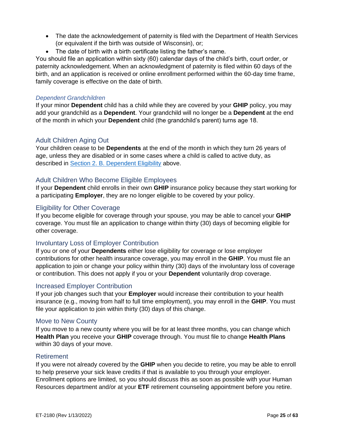- The date the acknowledgement of paternity is filed with the Department of Health Services (or equivalent if the birth was outside of Wisconsin), or;
- The date of birth with a birth certificate listing the father's name.

You should file an application within sixty (60) calendar days of the child's birth, court order, or paternity acknowledgement. When an acknowledgment of paternity is filed within 60 days of the birth, and an application is received or online enrollment performed within the 60-day time frame, family coverage is effective on the date of birth.

#### *Dependent Grandchildren*

If your minor **Dependent** child has a child while they are covered by your **GHIP** policy, you may add your grandchild as a **Dependent**. Your grandchild will no longer be a **Dependent** at the end of the month in which your **Dependent** child (the grandchild's parent) turns age 18.

#### <span id="page-24-0"></span>Adult Children Aging Out

Your children cease to be **Dependents** at the end of the month in which they turn 26 years of age, unless they are disabled or in some cases where a child is called to active duty, as described in **Section 2. B. Dependent Eligibility** above.

#### <span id="page-24-1"></span>Adult Children Who Become Eligible Employees

If your **Dependent** child enrolls in their own **GHIP** insurance policy because they start working for a participating **Employer**, they are no longer eligible to be covered by your policy.

#### <span id="page-24-2"></span>Eligibility for Other Coverage

If you become eligible for coverage through your spouse, you may be able to cancel your **GHIP** coverage. You must file an application to change within thirty (30) days of becoming eligible for other coverage.

#### <span id="page-24-3"></span>Involuntary Loss of Employer Contribution

If you or one of your **Dependents** either lose eligibility for coverage or lose employer contributions for other health insurance coverage, you may enroll in the **GHIP**. You must file an application to join or change your policy within thirty (30) days of the involuntary loss of coverage or contribution. This does not apply if you or your **Dependent** voluntarily drop coverage.

#### <span id="page-24-4"></span>Increased Employer Contribution

If your job changes such that your **Employer** would increase their contribution to your health insurance (e.g., moving from half to full time employment), you may enroll in the **GHIP**. You must file your application to join within thirty (30) days of this change.

#### <span id="page-24-5"></span>Move to New County

If you move to a new county where you will be for at least three months, you can change which **Health Plan** you receive your **GHIP** coverage through. You must file to change **Health Plans** within 30 days of your move.

#### <span id="page-24-6"></span>**Retirement**

If you were not already covered by the **GHIP** when you decide to retire, you may be able to enroll to help preserve your sick leave credits if that is available to you through your employer. Enrollment options are limited, so you should discuss this as soon as possible with your Human Resources department and/or at your **ETF** retirement counseling appointment before you retire.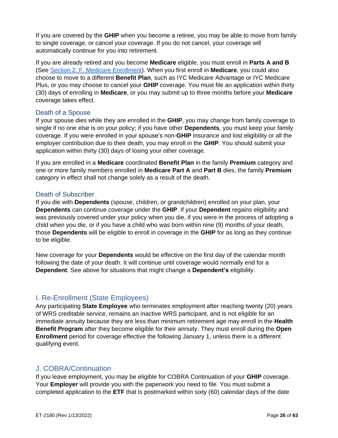If you are covered by the **GHIP** when you become a retiree, you may be able to move from family to single coverage, or cancel your coverage. If you do not cancel, your coverage will automatically continue for you into retirement.

If you are already retired and you become **Medicare** eligible, you must enroll in **Parts A and B** (See [Section 2. F. Medicare Enrollment\)](#page-21-4). When you first enroll in **Medicare**, you could also choose to move to a different **Benefit Plan**, such as IYC Medicare Advantage or IYC Medicare Plus, or you may choose to cancel your **GHIP** coverage. You must file an application within thirty (30) days of enrolling in **Medicare**, or you may submit up to three months before your **Medicare** coverage takes effect.

#### <span id="page-25-0"></span>Death of a Spouse

If your spouse dies while they are enrolled in the **GHIP**, you may change from family coverage to single if no one else is on your policy; if you have other **Dependents**, you must keep your family coverage. If you were enrolled in your spouse's non-**GHIP** insurance and lost eligibility or all the employer contribution due to their death, you may enroll in the **GHIP**. You should submit your application within thirty (30) days of losing your other coverage.

If you are enrolled in a **Medicare** coordinated **Benefit Plan** in the family **Premium** category and one or more family members enrolled in **Medicare Part A** and **Part B** dies, the family **Premium** category in effect shall not change solely as a result of the death.

#### <span id="page-25-1"></span>Death of Subscriber

If you die with **Dependents** (spouse, children, or grandchildren) enrolled on your plan, your **Dependents** can continue coverage under the **GHIP**. If your **Dependent** regains eligibility and was previously covered under your policy when you die, if you were in the process of adopting a child when you die, or if you have a child who was born within nine (9) months of your death, those **Dependents** will be eligible to enroll in coverage in the **GHIP** for as long as they continue to be eligible.

New coverage for your **Dependents** would be effective on the first day of the calendar month following the date of your death. It will continue until coverage would normally end for a **Dependent**. See above for situations that might change a **Dependent's** eligibility.

#### <span id="page-25-2"></span>I. Re-Enrollment (State Employees)

Any participating **State Employee** who terminates employment after reaching twenty (20) years of WRS creditable service, remains an inactive WRS participant, and is not eligible for an immediate annuity because they are less than minimum retirement age may enroll in the **Health Benefit Program** after they become eligible for their annuity. They must enroll during the **Open Enrollment** period for coverage effective the following January 1, unless there is a different qualifying event.

#### <span id="page-25-3"></span>J. COBRA/Continuation

If you leave employment, you may be eligible for COBRA Continuation of your **GHIP** coverage. Your **Employer** will provide you with the paperwork you need to file. You must submit a completed application to the **ETF** that is postmarked within sixty (60) calendar days of the date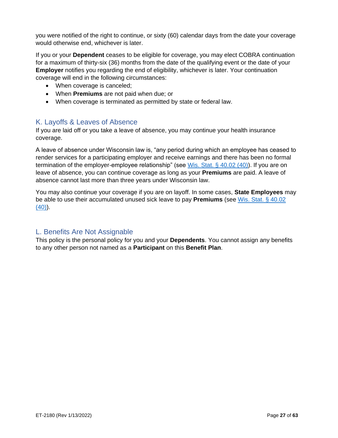you were notified of the right to continue, or sixty (60) calendar days from the date your coverage would otherwise end, whichever is later.

If you or your **Dependent** ceases to be eligible for coverage, you may elect COBRA continuation for a maximum of thirty-six (36) months from the date of the qualifying event or the date of your **Employer** notifies you regarding the end of eligibility, whichever is later. Your continuation coverage will end in the following circumstances:

- When coverage is canceled;
- When **Premiums** are not paid when due; or
- When coverage is terminated as permitted by state or federal law.

# <span id="page-26-0"></span>K. Layoffs & Leaves of Absence

If you are laid off or you take a leave of absence, you may continue your health insurance coverage.

A leave of absence under Wisconsin law is, "any period during which an employee has ceased to render services for a participating employer and receive earnings and there has been no formal termination of the employer-employee relationship" (see [Wis. Stat. § 40.02 \(40\)\)](https://docs.legis.wisconsin.gov/statutes/statutes/40/i/02/40). If you are on leave of absence, you can continue coverage as long as your **Premiums** are paid. A leave of absence cannot last more than three years under Wisconsin law.

You may also continue your coverage if you are on layoff. In some cases, **State Employees** may be able to use their accumulated unused sick leave to pay **Premiums** (see [Wis. Stat. § 40.02](https://docs.legis.wisconsin.gov/statutes/statutes/40/i/02/40)  [\(40\)\)](https://docs.legis.wisconsin.gov/statutes/statutes/40/i/02/40).

# <span id="page-26-1"></span>L. Benefits Are Not Assignable

This policy is the personal policy for you and your **Dependents**. You cannot assign any benefits to any other person not named as a **Participant** on this **Benefit Plan**.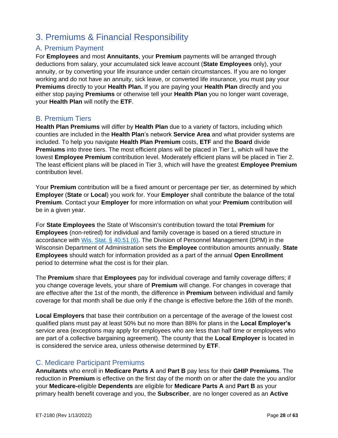# <span id="page-27-0"></span>3. Premiums & Financial Responsibility

# <span id="page-27-1"></span>A. Premium Payment

For **Employees** and most **Annuitants**, your **Premium** payments will be arranged through deductions from salary, your accumulated sick leave account (**State Employees** only), your annuity, or by converting your life insurance under certain circumstances. If you are no longer working and do not have an annuity, sick leave, or converted life insurance, you must pay your **Premiums** directly to your **Health Plan.** If you are paying your **Health Plan** directly and you either stop paying **Premiums** or otherwise tell your **Health Plan** you no longer want coverage, your **Health Plan** will notify the **ETF**.

# <span id="page-27-2"></span>B. Premium Tiers

**Health Plan Premiums** will differ by **Health Plan** due to a variety of factors, including which counties are included in the **Health Plan**'s network **Service Area** and what provider systems are included. To help you navigate **Health Plan Premium** costs, **ETF** and the **Board** divide **Premiums** into three tiers. The most efficient plans will be placed in Tier 1, which will have the lowest **Employee Premium** contribution level. Moderately efficient plans will be placed in Tier 2. The least efficient plans will be placed in Tier 3, which will have the greatest **Employee Premium**  contribution level.

Your **Premium** contribution will be a fixed amount or percentage per tier, as determined by which **Employer** (**State** or **Local**) you work for. Your **Employer** shall contribute the balance of the total **Premium**. Contact your **Employer** for more information on what your **Premium** contribution will be in a given year.

For **State Employees** the State of Wisconsin's contribution toward the total **Premium** for **Employees** (non-retired) for individual and family coverage is based on a tiered structure in accordance with [Wis. Stat. § 40.51 \(6\).](http://docs.legis.wisconsin.gov/statutes/statutes/40/IV/51/6) The Division of Personnel Management (DPM) in the Wisconsin Department of Administration sets the **Employee** contribution amounts annually. **State Employees** should watch for information provided as a part of the annual **Open Enrollment**  period to determine what the cost is for their plan.

The **Premium** share that **Employees** pay for individual coverage and family coverage differs; if you change coverage levels, your share of **Premium** will change. For changes in coverage that are effective after the 1st of the month, the difference in **Premium** between individual and family coverage for that month shall be due only if the change is effective before the 16th of the month.

**Local Employers** that base their contribution on a percentage of the average of the lowest cost qualified plans must pay at least 50% but no more than 88% for plans in the **Local Employer's** service area (exceptions may apply for employees who are less than half time or employees who are part of a collective bargaining agreement). The county that the **Local Employer** is located in is considered the service area, unless otherwise determined by **ETF**.

# <span id="page-27-3"></span>C. Medicare Participant Premiums

**Annuitants** who enroll in **Medicare Parts A** and **Part B** pay less for their **GHIP Premiums**. The reduction in **Premium** is effective on the first day of the month on or after the date the you and/or your **Medicare-**eligible **Dependents** are eligible for **Medicare Parts A** and **Part B** as your primary health benefit coverage and you, the **Subscriber**, are no longer covered as an **Active**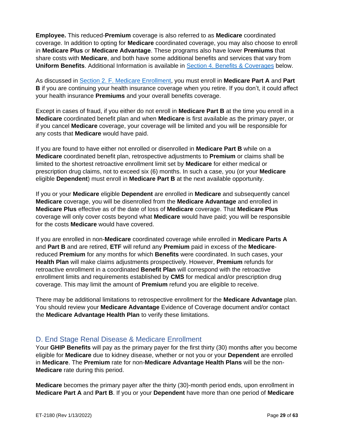**Employee.** This reduced-**Premium** coverage is also referred to as **Medicare** coordinated coverage. In addition to opting for **Medicare** coordinated coverage, you may also choose to enroll in **Medicare Plus** or **Medicare Advantage**. These programs also have lower **Premiums** that share costs with **Medicare**, and both have some additional benefits and services that vary from **Uniform Benefits**. Additional Information is available in [Section 4. Benefits & Coverages](#page-29-2) below.

As discussed in [Section 2. F. Medicare Enrollment,](#page-21-4) you must enroll in **Medicare Part A** and **Part B** if you are continuing your health insurance coverage when you retire. If you don't, it could affect your health insurance **Premiums** and your overall benefits coverage.

Except in cases of fraud, if you either do not enroll in **Medicare Part B** at the time you enroll in a **Medicare** coordinated benefit plan and when **Medicare** is first available as the primary payer, or if you cancel **Medicare** coverage, your coverage will be limited and you will be responsible for any costs that **Medicare** would have paid.

If you are found to have either not enrolled or disenrolled in **Medicare Part B** while on a **Medicare** coordinated benefit plan, retrospective adjustments to **Premium** or claims shall be limited to the shortest retroactive enrollment limit set by **Medicare** for either medical or prescription drug claims, not to exceed six (6) months. In such a case, you (or your **Medicare** eligible **Dependent**) must enroll in **Medicare Part B** at the next available opportunity.

If you or your **Medicare** eligible **Dependent** are enrolled in **Medicare** and subsequently cancel **Medicare** coverage, you will be disenrolled from the **Medicare Advantage** and enrolled in **Medicare Plus** effective as of the date of loss of **Medicare** coverage. That **Medicare Plus** coverage will only cover costs beyond what **Medicare** would have paid; you will be responsible for the costs **Medicare** would have covered.

If you are enrolled in non-**Medicare** coordinated coverage while enrolled in **Medicare Parts A**  and **Part B** and are retired, **ETF** will refund any **Premium** paid in excess of the **Medicare**reduced **Premium** for any months for which **Benefits** were coordinated. In such cases, your **Health Plan** will make claims adjustments prospectively. However, **Premium** refunds for retroactive enrollment in a coordinated **Benefit Plan** will correspond with the retroactive enrollment limits and requirements established by **CMS** for medical and/or prescription drug coverage. This may limit the amount of **Premium** refund you are eligible to receive.

There may be additional limitations to retrospective enrollment for the **Medicare Advantage** plan. You should review your **Medicare Advantage** Evidence of Coverage document and/or contact the **Medicare Advantage Health Plan** to verify these limitations.

# <span id="page-28-0"></span>D. End Stage Renal Disease & Medicare Enrollment

Your **GHIP Benefits** will pay as the primary payer for the first thirty (30) months after you become eligible for **Medicare** due to kidney disease, whether or not you or your **Dependent** are enrolled in **Medicare**. The **Premium** rate for non-**Medicare Advantage Health Plans** will be the non-**Medicare** rate during this period.

**Medicare** becomes the primary payer after the thirty (30)-month period ends, upon enrollment in **Medicare Part A** and **Part B**. If you or your **Dependent** have more than one period of **Medicare**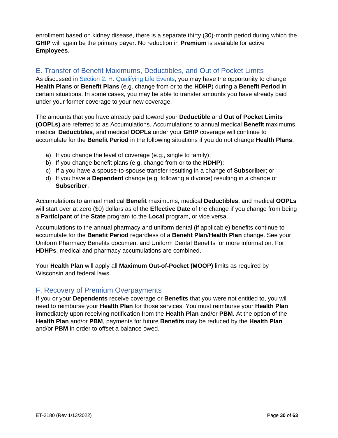enrollment based on kidney disease, there is a separate thirty (30)-month period during which the **GHIP** will again be the primary payer. No reduction in **Premium** is available for active **Employees**.

# <span id="page-29-0"></span>E. Transfer of Benefit Maximums, Deductibles, and Out of Pocket Limits

As discussed in [Section 2. H. Qualifying Life Events,](#page-23-1) you may have the opportunity to change **Health Plans** or **Benefit Plans** (e.g. change from or to the **HDHP**) during a **Benefit Period** in certain situations. In some cases, you may be able to transfer amounts you have already paid under your former coverage to your new coverage.

The amounts that you have already paid toward your **Deductible** and **Out of Pocket Limits (OOPLs)** are referred to as Accumulations. Accumulations to annual medical **Benefit** maximums, medical **Deductibles**, and medical **OOPLs** under your **GHIP** coverage will continue to accumulate for the **Benefit Period** in the following situations if you do not change **Health Plans**:

- a) If you change the level of coverage (e.g., single to family);
- b) If you change benefit plans (e.g. change from or to the **HDHP**);
- c) If a you have a spouse-to-spouse transfer resulting in a change of **Subscriber**; or
- d) If you have a **Dependent** change (e.g. following a divorce) resulting in a change of **Subscriber**.

Accumulations to annual medical **Benefit** maximums, medical **Deductibles**, and medical **OOPLs** will start over at zero (\$0) dollars as of the **Effective Date** of the change if you change from being a **Participant** of the **State** program to the **Local** program, or vice versa.

Accumulations to the annual pharmacy and uniform dental (if applicable) benefits continue to accumulate for the **Benefit Period** regardless of a **Benefit Plan**/**Health Plan** change. See your Uniform Pharmacy Benefits document and Uniform Dental Benefits for more information. For **HDHPs**, medical and pharmacy accumulations are combined.

Your **Health Plan** will apply all **Maximum Out-of-Pocket (MOOP)** limits as required by Wisconsin and federal laws.

#### <span id="page-29-1"></span>F. Recovery of Premium Overpayments

<span id="page-29-2"></span>If you or your **Dependents** receive coverage or **Benefits** that you were not entitled to, you will need to reimburse your **Health Plan** for those services. You must reimburse your **Health Plan** immediately upon receiving notification from the **Health Plan** and/or **PBM**. At the option of the **Health Plan** and/or **PBM**, payments for future **Benefits** may be reduced by the **Health Plan** and/or **PBM** in order to offset a balance owed.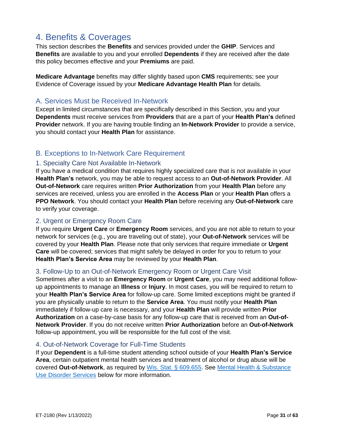# <span id="page-30-0"></span>4. Benefits & Coverages

This section describes the **Benefits** and services provided under the **GHIP**. Services and **Benefits** are available to you and your enrolled **Dependents** if they are received after the date this policy becomes effective and your **Premiums** are paid.

**Medicare Advantage** benefits may differ slightly based upon **CMS** requirements; see your Evidence of Coverage issued by your **Medicare Advantage Health Plan** for details.

## <span id="page-30-1"></span>A. Services Must be Received In-Network

Except in limited circumstances that are specifically described in this Section, you and your **Dependents** must receive services from **Providers** that are a part of your **Health Plan's** defined **Provider** network. If you are having trouble finding an **In-Network Provider** to provide a service, you should contact your **Health Plan** for assistance.

# <span id="page-30-2"></span>B. Exceptions to In-Network Care Requirement

#### <span id="page-30-3"></span>1. Specialty Care Not Available In-Network

If you have a medical condition that requires highly specialized care that is not available in your **Health Plan's** network, you may be able to request access to an **Out-of-Network Provider**. All **Out-of-Network** care requires written **Prior Authorization** from your **Health Plan** before any services are received, unless you are enrolled in the **Access Plan** or your **Health Plan** offers a **PPO Network**. You should contact your **Health Plan** before receiving any **Out-of-Network** care to verify your coverage.

#### <span id="page-30-4"></span>2. Urgent or Emergency Room Care

If you require **Urgent Care** or **Emergency Room** services, and you are not able to return to your network for services (e.g., you are traveling out of state), your **Out-of-Network** services will be covered by your **Health Plan**. Please note that only services that require immediate or **Urgent Care** will be covered; services that might safely be delayed in order for you to return to your **Health Plan's Service Area** may be reviewed by your **Health Plan**.

#### <span id="page-30-5"></span>3. Follow-Up to an Out-of-Network Emergency Room or Urgent Care Visit

Sometimes after a visit to an **Emergency Room** or **Urgent Care**, you may need additional followup appointments to manage an **Illness** or **Injury**. In most cases, you will be required to return to your **Health Plan's Service Area** for follow-up care. Some limited exceptions might be granted if you are physically unable to return to the **Service Area**. You must notify your **Health Plan** immediately if follow-up care is necessary, and your **Health Plan** will provide written **Prior Authorization** on a case-by-case basis for any follow-up care that is received from an **Out-of-Network Provider**. If you do not receive written **Prior Authorization** before an **Out-of-Network** follow-up appointment, you will be responsible for the full cost of the visit.

#### <span id="page-30-6"></span>4. Out-of-Network Coverage for Full-Time Students

If your **Dependent** is a full-time student attending school outside of your **Health Plan's Service Area**, certain outpatient mental health services and treatment of alcohol or drug abuse will be covered **Out-of-Network**, as required by [Wis. Stat. § 609.655.](https://docs.legis.wisconsin.gov/statutes/statutes/609/655) See [Mental Health & Substance](#page-41-2)  [Use Disorder Services](#page-41-2) below for more information.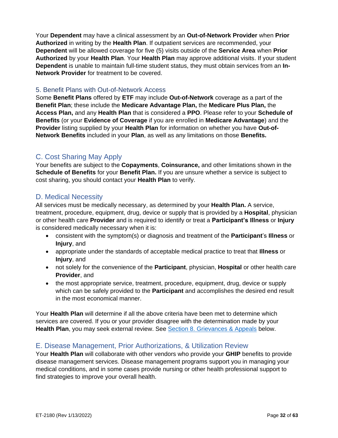Your **Dependent** may have a clinical assessment by an **Out-of-Network Provider** when **Prior Authorized** in writing by the **Health Plan**. If outpatient services are recommended, your **Dependent** will be allowed coverage for five (5) visits outside of the **Service Area** when **Prior Authorized** by your **Health Plan**. Your **Health Plan** may approve additional visits. If your student **Dependent** is unable to maintain full-time student status, they must obtain services from an **In-Network Provider** for treatment to be covered.

#### <span id="page-31-0"></span>5. Benefit Plans with Out-of-Network Access

Some **Benefit Plans** offered by **ETF** may include **Out-of-Network** coverage as a part of the **Benefit Plan**; these include the **Medicare Advantage Plan,** the **Medicare Plus Plan,** the **Access Plan,** and any **Health Plan** that is considered a **PPO**. Please refer to your **Schedule of Benefits** (or your **Evidence of Coverage** if you are enrolled in **Medicare Advantage**) and the **Provider** listing supplied by your **Health Plan** for information on whether you have **Out-of-Network Benefits** included in your **Plan**, as well as any limitations on those **Benefits.**

# <span id="page-31-1"></span>C. Cost Sharing May Apply

Your benefits are subject to the **Copayments**, **Coinsurance,** and other limitations shown in the **Schedule of Benefits** for your **Benefit Plan.** If you are unsure whether a service is subject to cost sharing, you should contact your **Health Plan** to verify.

## <span id="page-31-2"></span>D. Medical Necessity

All services must be medically necessary, as determined by your **Health Plan.** A service, treatment, procedure, equipment, drug, device or supply that is provided by a **Hospital**, physician or other health care **Provider** and is required to identify or treat a **Participant's Illness** or **Injury** is considered medically necessary when it is:

- consistent with the symptom(s) or diagnosis and treatment of the **Participant**'s **Illness** or **Injury**, and
- appropriate under the standards of acceptable medical practice to treat that **Illness** or **Injury**, and
- not solely for the convenience of the **Participant**, physician, **Hospital** or other health care **Provider**, and
- the most appropriate service, treatment, procedure, equipment, drug, device or supply which can be safely provided to the **Participant** and accomplishes the desired end result in the most economical manner.

Your **Health Plan** will determine if all the above criteria have been met to determine which services are covered. If you or your provider disagree with the determination made by your **Health Plan**, you may seek external review. See [Section 8. Grievances & Appeals](#page-62-0) below.

# <span id="page-31-3"></span>E. Disease Management, Prior Authorizations, & Utilization Review

Your **Health Plan** will collaborate with other vendors who provide your **GHIP** benefits to provide disease management services. Disease management programs support you in managing your medical conditions, and in some cases provide nursing or other health professional support to find strategies to improve your overall health.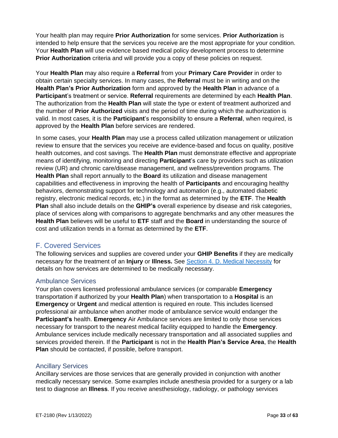Your health plan may require **Prior Authorization** for some services. **Prior Authorization** is intended to help ensure that the services you receive are the most appropriate for your condition. Your **Health Plan** will use evidence based medical policy development process to determine **Prior Authorization** criteria and will provide you a copy of these policies on request.

Your **Health Plan** may also require a **Referral** from your **Primary Care Provider** in order to obtain certain specialty services. In many cases, the **Referral** must be in writing and on the **Health Plan's Prior Authorization** form and approved by the **Health Plan** in advance of a **Participant**'s treatment or service. **Referral** requirements are determined by each **Health Plan**. The authorization from the **Health Plan** will state the type or extent of treatment authorized and the number of **Prior Authorized** visits and the period of time during which the authorization is valid. In most cases, it is the **Participant**'s responsibility to ensure a **Referral**, when required, is approved by the **Health Plan** before services are rendered.

In some cases, your **Health Plan** may use a process called utilization management or utilization review to ensure that the services you receive are evidence-based and focus on quality, positive health outcomes, and cost savings. The **Health Plan** must demonstrate effective and appropriate means of identifying, monitoring and directing **Participant**'s care by providers such as utilization review (UR) and chronic care/disease management, and wellness/prevention programs. The **Health Plan** shall report annually to the **Board** its utilization and disease management capabilities and effectiveness in improving the health of **Participants** and encouraging healthy behaviors, demonstrating support for technology and automation (e.g., automated diabetic registry, electronic medical records, etc.) in the format as determined by the **ETF**. The **Health Plan** shall also include details on the **GHIP's** overall experience by disease and risk categories, place of services along with comparisons to aggregate benchmarks and any other measures the **Health Plan** believes will be useful to **ETF** staff and the **Board** in understanding the source of cost and utilization trends in a format as determined by the **ETF**.

# <span id="page-32-0"></span>F. Covered Services

The following services and supplies are covered under your **GHIP Benefits** if they are medically necessary for the treatment of an **Injury** or **Illness.** See [Section 4. D. Medical Necessity](#page-31-2) for details on how services are determined to be medically necessary.

#### <span id="page-32-1"></span>Ambulance Services

Your plan covers licensed professional ambulance services (or comparable **Emergency** transportation if authorized by your **Health Plan**) when transportation to a **Hospital** is an **Emergency** or **Urgent** and medical attention is required en route. This includes licensed professional air ambulance when another mode of ambulance service would endanger the **Participant's** health. **Emergency** Air Ambulance services are limited to only those services necessary for transport to the nearest medical facility equipped to handle the **Emergency**. Ambulance services include medically necessary transportation and all associated supplies and services provided therein. If the **Participant** is not in the **Health Plan's Service Area**, the **Health Plan** should be contacted, if possible, before transport.

#### <span id="page-32-2"></span>Ancillary Services

Ancillary services are those services that are generally provided in conjunction with another medically necessary service. Some examples include anesthesia provided for a surgery or a lab test to diagnose an **Illness**. If you receive anesthesiology, radiology, or pathology services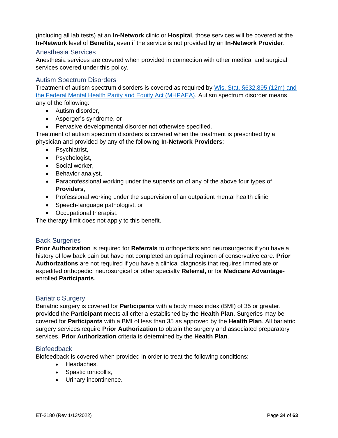(including all lab tests) at an **In-Network** clinic or **Hospital**, those services will be covered at the **In-Network** level of **Benefits,** even if the service is not provided by an **In-Network Provider**.

#### <span id="page-33-0"></span>Anesthesia Services

Anesthesia services are covered when provided in connection with other medical and surgical services covered under this policy.

#### <span id="page-33-1"></span>Autism Spectrum Disorders

Treatment of autism spectrum disorders is covered as required by [Wis. Stat. §632.895 \(12m\)](https://docs.legis.wisconsin.gov/statutes/statutes/632/VI/895/12m) and the Federal Mental Health Parity and Equity Act (MHPAEA). Autism spectrum disorder means any of the following:

- Autism disorder,
- Asperger's syndrome, or
- Pervasive developmental disorder not otherwise specified.

Treatment of autism spectrum disorders is covered when the treatment is prescribed by a physician and provided by any of the following **In-Network Providers**:

- Psychiatrist,
- Psychologist,
- Social worker,
- Behavior analyst,
- Paraprofessional working under the supervision of any of the above four types of **Providers**,
- Professional working under the supervision of an outpatient mental health clinic
- Speech-language pathologist, or
- Occupational therapist.

The therapy limit does not apply to this benefit.

#### <span id="page-33-2"></span>Back Surgeries

**Prior Authorization** is required for **Referrals** to orthopedists and neurosurgeons if you have a history of low back pain but have not completed an optimal regimen of conservative care. **Prior Authorizations** are not required if you have a clinical diagnosis that requires immediate or expedited orthopedic, neurosurgical or other specialty **Referral,** or for **Medicare Advantage**enrolled **Participants**.

#### <span id="page-33-3"></span>Bariatric Surgery

Bariatric surgery is covered for **Participants** with a body mass index (BMI) of 35 or greater, provided the **Participant** meets all criteria established by the **Health Plan**. Surgeries may be covered for **Participants** with a BMI of less than 35 as approved by the **Health Plan**. All bariatric surgery services require **Prior Authorization** to obtain the surgery and associated preparatory services. **Prior Authorization** criteria is determined by the **Health Plan**.

#### <span id="page-33-4"></span>**Biofeedback**

Biofeedback is covered when provided in order to treat the following conditions:

- Headaches,
- Spastic torticollis,
- Urinary incontinence.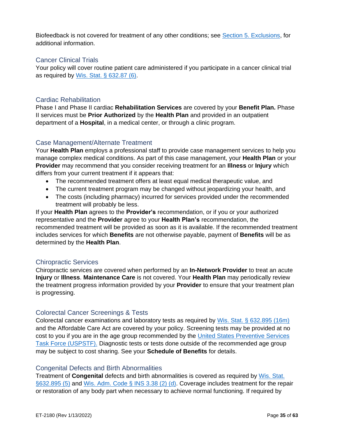Biofeedback is not covered for treatment of any other conditions; see [Section 5. Exclusions,](#page-49-0) for additional information.

#### <span id="page-34-0"></span>Cancer Clinical Trials

Your policy will cover routine patient care administered if you participate in a cancer clinical trial as required by [Wis. Stat. § 632.87 \(6\).](https://docs.legis.wisconsin.gov/document/statutes/632.87(6))

#### <span id="page-34-1"></span>Cardiac Rehabilitation

Phase I and Phase II cardiac **Rehabilitation Services** are covered by your **Benefit Plan.** Phase II services must be **Prior Authorized** by the **Health Plan** and provided in an outpatient department of a **Hospital**, in a medical center, or through a clinic program.

#### <span id="page-34-2"></span>Case Management/Alternate Treatment

Your **Health Plan** employs a professional staff to provide case management services to help you manage complex medical conditions. As part of this case management, your **Health Plan** or your **Provider** may recommend that you consider receiving treatment for an **Illness** or **Injury** which differs from your current treatment if it appears that:

- The recommended treatment offers at least equal medical therapeutic value, and
- The current treatment program may be changed without jeopardizing your health, and
- The costs (including pharmacy) incurred for services provided under the recommended treatment will probably be less.

If your **Health Plan** agrees to the **Provider's** recommendation, or if you or your authorized representative and the **Provider** agree to your **Health Plan's** recommendation, the recommended treatment will be provided as soon as it is available. If the recommended treatment includes services for which **Benefits** are not otherwise payable, payment of **Benefits** will be as determined by the **Health Plan**.

#### <span id="page-34-3"></span>Chiropractic Services

Chiropractic services are covered when performed by an **In-Network Provider** to treat an acute **Injury** or **Illness**. **Maintenance Care** is not covered. Your **Health Plan** may periodically review the treatment progress information provided by your **Provider** to ensure that your treatment plan is progressing.

#### <span id="page-34-4"></span>Colorectal Cancer Screenings & Tests

Colorectal cancer examinations and laboratory tests as required by [Wis. Stat. § 632.895 \(16m\)](https://docs.legis.wisconsin.gov/statutes/statutes/632/VI/895/16m) and the Affordable Care Act are covered by your policy. Screening tests may be provided at no cost to you if you are in the age group recommended by the [United States Preventive Services](https://www.uspreventiveservicestaskforce.org/uspstf/recommendation-topics/uspstf-and-b-recommendations)  [Task Force \(USPSTF\).](https://www.uspreventiveservicestaskforce.org/uspstf/recommendation-topics/uspstf-and-b-recommendations) Diagnostic tests or tests done outside of the recommended age group may be subject to cost sharing. See your **Schedule of Benefits** for details.

#### <span id="page-34-5"></span>Congenital Defects and Birth Abnormalities

Treatment of **Congenital** defects and birth abnormalities is covered as required by [Wis. Stat.](https://docs.legis.wisconsin.gov/document/statutes/632.895(5))  [§632.895 \(5\)](https://docs.legis.wisconsin.gov/document/statutes/632.895(5)) and [Wis. Adm. Code § INS 3.38 \(2\) \(d\).](https://docs.legis.wisconsin.gov/document/administrativecode/Ins%203.38(2)) Coverage includes treatment for the repair or restoration of any body part when necessary to achieve normal functioning. If required by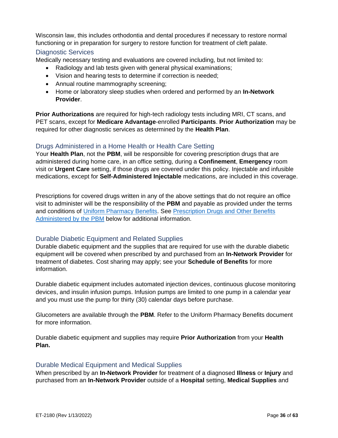Wisconsin law, this includes orthodontia and dental procedures if necessary to restore normal functioning or in preparation for surgery to restore function for treatment of cleft palate.

#### <span id="page-35-0"></span>Diagnostic Services

Medically necessary testing and evaluations are covered including, but not limited to:

- Radiology and lab tests given with general physical examinations;
- Vision and hearing tests to determine if correction is needed;
- Annual routine mammography screening;
- Home or laboratory sleep studies when ordered and performed by an **In-Network Provider**.

**Prior Authorizations** are required for high-tech radiology tests including MRI, CT scans, and PET scans, except for **Medicare Advantage**-enrolled **Participants**. **Prior Authorization** may be required for other diagnostic services as determined by the **Health Plan**.

#### <span id="page-35-1"></span>Drugs Administered in a Home Health or Health Care Setting

Your **Health Plan**, not the **PBM**, will be responsible for covering prescription drugs that are administered during home care, in an office setting, during a **Confinement**, **Emergency** room visit or **Urgent Care** setting, if those drugs are covered under this policy. Injectable and infusible medications, except for **Self-Administered Injectable** medications, are included in this coverage.

Prescriptions for covered drugs written in any of the above settings that do not require an office visit to administer will be the responsibility of the **PBM** and payable as provided under the terms and conditions of [Uniform Pharmacy Benefits.](https://etf.wi.gov/resource/2021-uniform-pharmacy-benefits-certificate-coverage) See [Prescription Drugs and Other Benefits](#page-43-1)  [Administered by the PBM](#page-43-1) below for additional information.

#### <span id="page-35-2"></span>Durable Diabetic Equipment and Related Supplies

Durable diabetic equipment and the supplies that are required for use with the durable diabetic equipment will be covered when prescribed by and purchased from an **In-Network Provider** for treatment of diabetes. Cost sharing may apply; see your **Schedule of Benefits** for more information.

Durable diabetic equipment includes automated injection devices, continuous glucose monitoring devices, and insulin infusion pumps. Infusion pumps are limited to one pump in a calendar year and you must use the pump for thirty (30) calendar days before purchase.

Glucometers are available through the **PBM**. Refer to the Uniform Pharmacy Benefits document for more information.

Durable diabetic equipment and supplies may require **Prior Authorization** from your **Health Plan.**

#### <span id="page-35-3"></span>Durable Medical Equipment and Medical Supplies

When prescribed by an **In-Network Provider** for treatment of a diagnosed **Illness** or **Injury** and purchased from an **In-Network Provider** outside of a **Hospital** setting, **Medical Supplies** and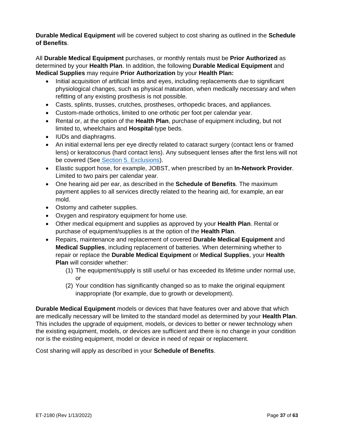**Durable Medical Equipment** will be covered subject to cost sharing as outlined in the **Schedule of Benefits**.

All **Durable Medical Equipment** purchases, or monthly rentals must be **Prior Authorized** as determined by your **Health Plan**. In addition, the following **Durable Medical Equipment** and **Medical Supplies** may require **Prior Authorization** by your **Health Plan:**

- Initial acquisition of artificial limbs and eyes, including replacements due to significant physiological changes, such as physical maturation, when medically necessary and when refitting of any existing prosthesis is not possible.
- Casts, splints, trusses, crutches, prostheses, orthopedic braces, and appliances.
- Custom-made orthotics, limited to one orthotic per foot per calendar year.
- Rental or, at the option of the **Health Plan**, purchase of equipment including, but not limited to, wheelchairs and **Hospital**-type beds.
- IUDs and diaphragms.
- An initial external lens per eye directly related to cataract surgery (contact lens or framed lens) or keratoconus (hard contact lens). Any subsequent lenses after the first lens will not be covered (See [Section 5. Exclusions\)](#page-49-0).
- Elastic support hose, for example, JOBST, when prescribed by an **In-Network Provider**. Limited to two pairs per calendar year.
- One hearing aid per ear, as described in the **Schedule of Benefits**. The maximum payment applies to all services directly related to the hearing aid, for example, an ear mold.
- Ostomy and catheter supplies.
- Oxygen and respiratory equipment for home use.
- Other medical equipment and supplies as approved by your **Health Plan**. Rental or purchase of equipment/supplies is at the option of the **Health Plan**.
- Repairs, maintenance and replacement of covered **Durable Medical Equipment** and **Medical Supplies**, including replacement of batteries. When determining whether to repair or replace the **Durable Medical Equipment** or **Medical Supplies**, your **Health Plan** will consider whether:
	- (1) The equipment/supply is still useful or has exceeded its lifetime under normal use, or
	- (2) Your condition has significantly changed so as to make the original equipment inappropriate (for example, due to growth or development).

**Durable Medical Equipment** models or devices that have features over and above that which are medically necessary will be limited to the standard model as determined by your **Health Plan**. This includes the upgrade of equipment, models, or devices to better or newer technology when the existing equipment, models, or devices are sufficient and there is no change in your condition nor is the existing equipment, model or device in need of repair or replacement.

Cost sharing will apply as described in your **Schedule of Benefits**.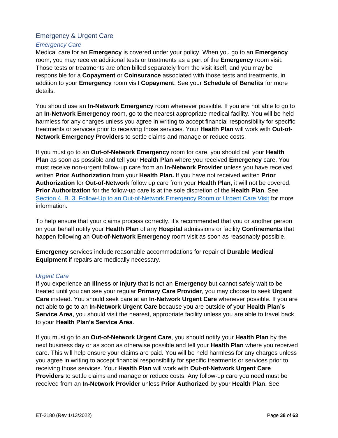## <span id="page-37-0"></span>Emergency & Urgent Care

#### <span id="page-37-1"></span>*Emergency Care*

Medical care for an **Emergency** is covered under your policy. When you go to an **Emergency**  room, you may receive additional tests or treatments as a part of the **Emergency** room visit. Those tests or treatments are often billed separately from the visit itself, and you may be responsible for a **Copayment** or **Coinsurance** associated with those tests and treatments, in addition to your **Emergency** room visit **Copayment**. See your **Schedule of Benefits** for more details.

You should use an **In-Network Emergency** room whenever possible. If you are not able to go to an **In-Network Emergency** room, go to the nearest appropriate medical facility. You will be held harmless for any charges unless you agree in writing to accept financial responsibility for specific treatments or services prior to receiving those services. Your **Health Plan** will work with **Out-of-Network Emergency Providers** to settle claims and manage or reduce costs.

If you must go to an **Out-of-Network Emergency** room for care, you should call your **Health Plan** as soon as possible and tell your **Health Plan** where you received **Emergency** care. You must receive non-urgent follow-up care from an **In-Network Provider** unless you have received written **Prior Authorization** from your **Health Plan.** If you have not received written **Prior Authorization** for **Out-of-Network** follow up care from your **Health Plan**, it will not be covered. **Prior Authorization** for the follow-up care is at the sole discretion of the **Health Plan**. See [Section 4. B. 3. Follow-Up to an Out-of-Network Emergency Room or Urgent Care Visit](#page-30-5) for more information.

To help ensure that your claims process correctly, it's recommended that you or another person on your behalf notify your **Health Plan** of any **Hospital** admissions or facility **Confinements** that happen following an **Out-of-Network Emergency** room visit as soon as reasonably possible.

**Emergency** services include reasonable accommodations for repair of **Durable Medical Equipment** if repairs are medically necessary.

#### <span id="page-37-2"></span>*Urgent Care*

If you experience an **Illness** or **Injury** that is not an **Emergency** but cannot safely wait to be treated until you can see your regular **Primary Care Provider**, you may choose to seek **Urgent Care** instead. You should seek care at an **In-Network Urgent Care** whenever possible. If you are not able to go to an **In-Network Urgent Care** because you are outside of your **Health Plan's Service Area**, you should visit the nearest, appropriate facility unless you are able to travel back to your **Health Plan's Service Area**.

If you must go to an **Out-of-Network Urgent Care**, you should notify your **Health Plan** by the next business day or as soon as otherwise possible and tell your **Health Plan** where you received care. This will help ensure your claims are paid. You will be held harmless for any charges unless you agree in writing to accept financial responsibility for specific treatments or services prior to receiving those services. Your **Health Plan** will work with **Out-of-Network Urgent Care Providers** to settle claims and manage or reduce costs. Any follow-up care you need must be received from an **In-Network Provider** unless **Prior Authorized** by your **Health Plan**. See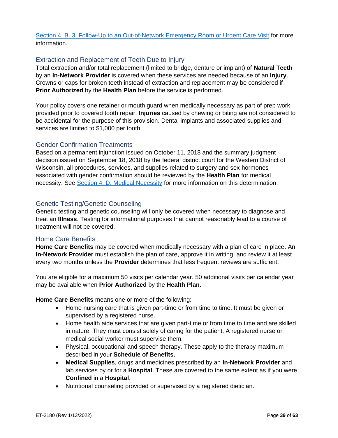[Section 4. B. 3. Follow-Up to an Out-of-Network Emergency Room or Urgent Care Visit](#page-30-5) for more information.

#### <span id="page-38-0"></span>Extraction and Replacement of Teeth Due to Injury

Total extraction and/or total replacement (limited to bridge, denture or implant) of **Natural Teeth** by an **In-Network Provider** is covered when these services are needed because of an **Injury**. Crowns or caps for broken teeth instead of extraction and replacement may be considered if **Prior Authorized** by the **Health Plan** before the service is performed.

Your policy covers one retainer or mouth guard when medically necessary as part of prep work provided prior to covered tooth repair. **Injuries** caused by chewing or biting are not considered to be accidental for the purpose of this provision. Dental implants and associated supplies and services are limited to \$1,000 per tooth.

#### <span id="page-38-1"></span>Gender Confirmation Treatments

Based on a permanent injunction issued on October 11, 2018 and the summary judgment decision issued on September 18, 2018 by the federal district court for the Western District of Wisconsin, all procedures, services, and supplies related to surgery and sex hormones associated with gender confirmation should be reviewed by the **Health Plan** for medical necessity. See [Section 4. D. Medical Necessity](#page-31-2) for more information on this determination.

#### <span id="page-38-2"></span>Genetic Testing/Genetic Counseling

Genetic testing and genetic counseling will only be covered when necessary to diagnose and treat an **Illness**. Testing for informational purposes that cannot reasonably lead to a course of treatment will not be covered.

#### <span id="page-38-3"></span>Home Care Benefits

**Home Care Benefits** may be covered when medically necessary with a plan of care in place. An **In-Network Provider** must establish the plan of care, approve it in writing, and review it at least every two months unless the **Provider** determines that less frequent reviews are sufficient.

You are eligible for a maximum 50 visits per calendar year. 50 additional visits per calendar year may be available when **Prior Authorized** by the **Health Plan**.

**Home Care Benefits** means one or more of the following:

- Home nursing care that is given part-time or from time to time. It must be given or supervised by a registered nurse.
- Home health aide services that are given part-time or from time to time and are skilled in nature. They must consist solely of caring for the patient. A registered nurse or medical social worker must supervise them.
- Physical, occupational and speech therapy. These apply to the therapy maximum described in your **Schedule of Benefits.**
- **Medical Supplies**, drugs and medicines prescribed by an **In-Network Provider** and lab services by or for a **Hospital**. These are covered to the same extent as if you were **Confined** in a **Hospital**.
- Nutritional counseling provided or supervised by a registered dietician.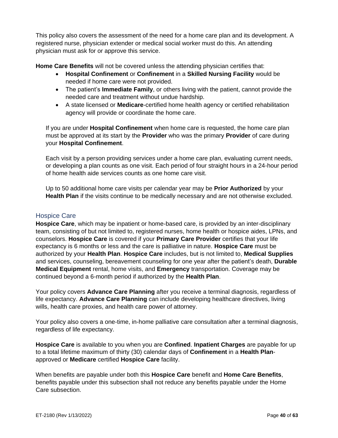This policy also covers the assessment of the need for a home care plan and its development. A registered nurse, physician extender or medical social worker must do this. An attending physician must ask for or approve this service.

**Home Care Benefits** will not be covered unless the attending physician certifies that:

- **Hospital Confinement** or **Confinement** in a **Skilled Nursing Facility** would be needed if home care were not provided.
- The patient's **Immediate Family**, or others living with the patient, cannot provide the needed care and treatment without undue hardship.
- A state licensed or **Medicare**-certified home health agency or certified rehabilitation agency will provide or coordinate the home care.

If you are under **Hospital Confinement** when home care is requested, the home care plan must be approved at its start by the **Provider** who was the primary **Provider** of care during your **Hospital Confinement**.

Each visit by a person providing services under a home care plan, evaluating current needs, or developing a plan counts as one visit. Each period of four straight hours in a 24-hour period of home health aide services counts as one home care visit.

Up to 50 additional home care visits per calendar year may be **Prior Authorized** by your **Health Plan** if the visits continue to be medically necessary and are not otherwise excluded.

#### <span id="page-39-0"></span>Hospice Care

**Hospice Care**, which may be inpatient or home-based care, is provided by an inter-disciplinary team, consisting of but not limited to, registered nurses, home health or hospice aides, LPNs, and counselors. **Hospice Care** is covered if your **Primary Care Provider** certifies that your life expectancy is 6 months or less and the care is palliative in nature. **Hospice Care** must be authorized by your **Health Plan**. **Hospice Care** includes, but is not limited to, **Medical Supplies** and services, counseling, bereavement counseling for one year after the patient's death, **Durable Medical Equipment** rental, home visits, and **Emergency** transportation. Coverage may be continued beyond a 6-month period if authorized by the **Health Plan**.

Your policy covers **Advance Care Planning** after you receive a terminal diagnosis, regardless of life expectancy. **Advance Care Planning** can include developing healthcare directives, living wills, health care proxies, and health care power of attorney.

Your policy also covers a one-time, in-home palliative care consultation after a terminal diagnosis, regardless of life expectancy.

**Hospice Care** is available to you when you are **Confined**. **Inpatient Charges** are payable for up to a total lifetime maximum of thirty (30) calendar days of **Confinement** in a **Health Plan**approved or **Medicare** certified **Hospice Care** facility.

When benefits are payable under both this **Hospice Care** benefit and **Home Care Benefits**, benefits payable under this subsection shall not reduce any benefits payable under the Home Care subsection.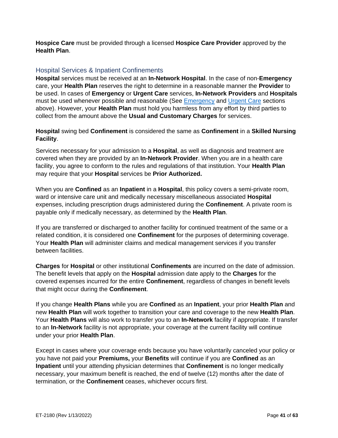**Hospice Care** must be provided through a licensed **Hospice Care Provider** approved by the **Health Plan**.

#### <span id="page-40-0"></span>Hospital Services & Inpatient Confinements

**Hospital** services must be received at an **In-Network Hospital**. In the case of non-**Emergency** care, your **Health Plan** reserves the right to determine in a reasonable manner the **Provider** to be used. In cases of **Emergency** or **Urgent Care** services, **In-Network Providers** and **Hospitals** must be used whenever possible and reasonable (See [Emergency](#page-37-1) and [Urgent Care](#page-37-2) sections above). However, your **Health Plan** must hold you harmless from any effort by third parties to collect from the amount above the **Usual and Customary Charges** for services.

**Hospital** swing bed **Confinement** is considered the same as **Confinement** in a **Skilled Nursing Facility**.

Services necessary for your admission to a **Hospital**, as well as diagnosis and treatment are covered when they are provided by an **In-Network Provider**. When you are in a health care facility, you agree to conform to the rules and regulations of that institution. Your **Health Plan** may require that your **Hospital** services be **Prior Authorized.**

When you are **Confined** as an **Inpatient** in a **Hospital**, this policy covers a semi-private room, ward or intensive care unit and medically necessary miscellaneous associated **Hospital** expenses, including prescription drugs administered during the **Confinement**. A private room is payable only if medically necessary, as determined by the **Health Plan**.

If you are transferred or discharged to another facility for continued treatment of the same or a related condition, it is considered one **Confinement** for the purposes of determining coverage. Your **Health Plan** will administer claims and medical management services if you transfer between facilities.

**Charges** for **Hospital** or other institutional **Confinements** are incurred on the date of admission. The benefit levels that apply on the **Hospital** admission date apply to the **Charges** for the covered expenses incurred for the entire **Confinement**, regardless of changes in benefit levels that might occur during the **Confinement**.

If you change **Health Plans** while you are **Confined** as an **Inpatient**, your prior **Health Plan** and new **Health Plan** will work together to transition your care and coverage to the new **Health Plan**. Your **Health Plans** will also work to transfer you to an **In-Network** facility if appropriate. If transfer to an **In-Network** facility is not appropriate, your coverage at the current facility will continue under your prior **Health Plan**.

Except in cases where your coverage ends because you have voluntarily canceled your policy or you have not paid your **Premiums,** your **Benefits** will continue if you are **Confined** as an **Inpatient** until your attending physician determines that **Confinement** is no longer medically necessary, your maximum benefit is reached, the end of twelve (12) months after the date of termination, or the **Confinement** ceases, whichever occurs first.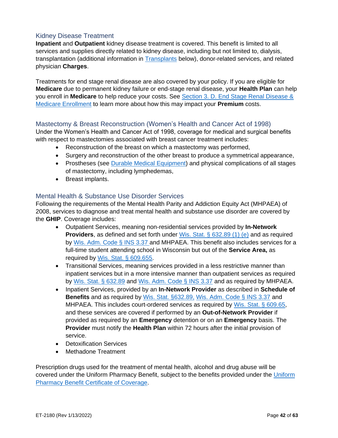## <span id="page-41-0"></span>Kidney Disease Treatment

**Inpatient** and **Outpatient** kidney disease treatment is covered. This benefit is limited to all services and supplies directly related to kidney disease, including but not limited to, dialysis, transplantation (additional information in [Transplants](#page-47-1) below), donor-related services, and related physician **Charges**.

Treatments for end stage renal disease are also covered by your policy. If you are eligible for **Medicare** due to permanent kidney failure or end-stage renal disease, your **Health Plan** can help you enroll in **Medicare** to help reduce your costs. See [Section 3. D. End Stage Renal Disease &](#page-28-0)  [Medicare Enrollment](#page-28-0) to learn more about how this may impact your **Premium** costs.

#### <span id="page-41-1"></span>Mastectomy & Breast Reconstruction (Women's Health and Cancer Act of 1998)

Under the Women's Health and Cancer Act of 1998, coverage for medical and surgical benefits with respect to mastectomies associated with breast cancer treatment includes:

- Reconstruction of the breast on which a mastectomy was performed,
- Surgery and reconstruction of the other breast to produce a symmetrical appearance,
- Prostheses (see [Durable Medical Equipment\)](#page-35-3) and physical complications of all stages of mastectomy, including lymphedemas,
- Breast implants.

#### <span id="page-41-2"></span>Mental Health & Substance Use Disorder Services

Following the requirements of the Mental Health Parity and Addiction Equity Act (MHPAEA) of 2008, services to diagnose and treat mental health and substance use disorder are covered by the **GHIP**. Coverage includes:

- Outpatient Services, meaning non-residential services provided by **In-Network Providers**, as defined and set forth under [Wis. Stat. § 632.89 \(1\) \(e\)](https://docs.legis.wisconsin.gov/document/statutes/632.89(1)(e)) and as required by [Wis. Adm. Code § INS 3.37](https://docs.legis.wisconsin.gov/document/administrativecode/Ins%203.37) and MHPAEA. This benefit also includes services for a full-time student attending school in Wisconsin but out of the **Service Area,** as required by [Wis. Stat. § 609.655.](https://docs.legis.wisconsin.gov/statutes/statutes/609/655)
- Transitional Services, meaning services provided in a less restrictive manner than inpatient services but in a more intensive manner than outpatient services as required by [Wis. Stat. § 632.89](https://docs.legis.wisconsin.gov/statutes/statutes/632/VI/89) and [Wis. Adm. Code § INS 3.37](https://docs.legis.wisconsin.gov/code/admin_code/ins/3/37) and as required by MHPAEA.
- Inpatient Services, provided by an **In-Network Provider** as described in **Schedule of Benefits** and as required by [Wis. Stat. §632.89,](https://docs.legis.wisconsin.gov/statutes/statutes/632/VI/89) [Wis. Adm. Code § INS 3.37](https://docs.legis.wisconsin.gov/code/admin_code/ins/3/37) and MHPAEA. This includes court-ordered services as required by [Wis. Stat. § 609.65,](https://docs.legis.wisconsin.gov/statutes/statutes/609/65) and these services are covered if performed by an **Out-of-Network Provider** if provided as required by an **Emergency** detention or on an **Emergency** basis. The **Provider** must notify the **Health Plan** within 72 hours after the initial provision of service.
- Detoxification Services
- Methadone Treatment

Prescription drugs used for the treatment of mental health, alcohol and drug abuse will be covered under the Uniform Pharmacy Benefit, subject to the benefits provided under the [Uniform](https://etf.wi.gov/resource/2021-uniform-pharmacy-benefits-certificate-coverage)  Pharmacy Benefit [Certificate of Coverage.](https://etf.wi.gov/resource/2021-uniform-pharmacy-benefits-certificate-coverage)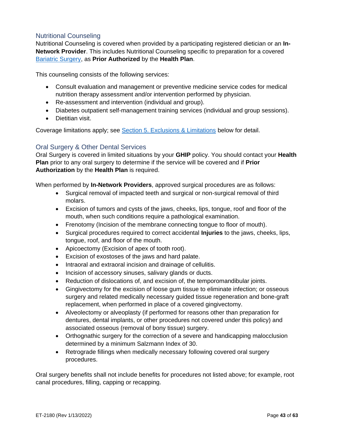## <span id="page-42-0"></span>Nutritional Counseling

Nutritional Counseling is covered when provided by a participating registered dietician or an **In-Network Provider**. This includes Nutritional Counseling specific to preparation for a covered [Bariatric Surgery,](#page-33-3) as **Prior Authorized** by the **Health Plan**.

This counseling consists of the following services:

- Consult evaluation and management or preventive medicine service codes for medical nutrition therapy assessment and/or intervention performed by physician.
- Re-assessment and intervention (individual and group).
- Diabetes outpatient self-management training services (individual and group sessions).
- Dietitian visit.

Coverage limitations apply; see [Section 5. Exclusions & Limitations](#page-49-0) below for detail.

#### <span id="page-42-1"></span>Oral Surgery & Other Dental Services

Oral Surgery is covered in limited situations by your **GHIP** policy. You should contact your **Health Plan** prior to any oral surgery to determine if the service will be covered and if **Prior Authorization** by the **Health Plan** is required.

When performed by **In-Network Providers**, approved surgical procedures are as follows:

- Surgical removal of impacted teeth and surgical or non-surgical removal of third molars.
- Excision of tumors and cysts of the jaws, cheeks, lips, tongue, roof and floor of the mouth, when such conditions require a pathological examination.
- Frenotomy (Incision of the membrane connecting tongue to floor of mouth).
- Surgical procedures required to correct accidental **Injuries** to the jaws, cheeks, lips, tongue, roof, and floor of the mouth.
- Apicoectomy (Excision of apex of tooth root).
- Excision of exostoses of the jaws and hard palate.
- Intraoral and extraoral incision and drainage of cellulitis.
- Incision of accessory sinuses, salivary glands or ducts.
- Reduction of dislocations of, and excision of, the temporomandibular joints.
- Gingivectomy for the excision of loose gum tissue to eliminate infection; or osseous surgery and related medically necessary guided tissue regeneration and bone-graft replacement, when performed in place of a covered gingivectomy.
- Alveolectomy or alveoplasty (if performed for reasons other than preparation for dentures, dental implants, or other procedures not covered under this policy) and associated osseous (removal of bony tissue) surgery.
- Orthognathic surgery for the correction of a severe and handicapping malocclusion determined by a minimum Salzmann Index of 30.
- Retrograde fillings when medically necessary following covered oral surgery procedures.

Oral surgery benefits shall not include benefits for procedures not listed above; for example, root canal procedures, filling, capping or recapping.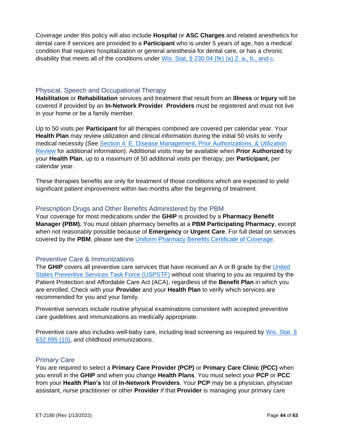Coverage under this policy will also include **Hospital** or **ASC Charges** and related anesthetics for dental care if services are provided to a **Participant** who is under 5 years of age, has a medical condition that requires hospitalization or general anesthesia for dental care, or has a chronic disability that meets all of the conditions under Wis. Stat.  $\S$  230.04 (9r) (a) 2. a., b., and c.

#### <span id="page-43-0"></span>Physical, Speech and Occupational Therapy

**Habilitation** or **Rehabilitation** services and treatment that result from an **Illness** or **Injury** will be covered if provided by an **In-Network Provider**. **Providers** must be registered and must not live in your home or be a family member.

Up to 50 visits per **Participant** for all therapies combined are covered per calendar year. Your **Health Plan** may review utilization and clinical information during the initial 50 visits to verify medical necessity (See [Section 4. E. Disease Management, Prior Authorizations, & Utilization](#page-31-3)  [Review](#page-31-3) for additional information). Additional visits may be available when **Prior Authorized** by your **Health Plan**, up to a maximum of 50 additional visits per therapy, per **Participant,** per calendar year.

These therapies benefits are only for treatment of those conditions which are expected to yield significant patient improvement within two months after the beginning of treatment.

#### <span id="page-43-1"></span>Prescription Drugs and Other Benefits Administered by the PBM

Your coverage for most medications under the **GHIP** is provided by a **Pharmacy Benefit Manager (PBM).** You must obtain pharmacy benefits at a **PBM Participating Pharmacy**, except when not reasonably possible because of **Emergency** or **Urgent Care**. For full detail on services covered by the **PBM**, please see the [Uniform Pharmacy Benefits](https://etf.wi.gov/resource/2021-uniform-pharmacy-benefits-certificate-coverage) Certificate of Coverage.

#### <span id="page-43-2"></span>Preventive Care & Immunizations

The **GHIP** covers all preventive care services that have received an A or B grade by the [United](https://www.uspreventiveservicestaskforce.org/uspstf/recommendation-topics/uspstf-and-b-recommendations)  [States Preventive Services Task Force \(USPSTF\)](https://www.uspreventiveservicestaskforce.org/uspstf/recommendation-topics/uspstf-and-b-recommendations) without cost sharing to you as required by the Patient Protection and Affordable Care Act (ACA), regardless of the **Benefit Plan** in which you are enrolled. Check with your **Provider** and your **Health Plan** to verify which services are recommended for you and your family.

Preventive services include routine physical examinations consistent with accepted preventive care guidelines and immunizations as medically appropriate.

Preventive care also includes well-baby care, including lead screening as required by Wis. Stat. § [632.895 \(10\),](https://docs.legis.wisconsin.gov/document/statutes/632.895(10)) and childhood immunizations.

#### <span id="page-43-3"></span>Primary Care

You are required to select a **Primary Care Provider (PCP)** or **Primary Care Clinic (PCC)** when you enroll in the **GHIP** and when you change **Health Plans**. You must select your **PCP** or **PCC** from your **Health Plan's** list of **In-Network Providers**. Your **PCP** may be a physician, physician assistant, nurse practitioner or other **Provider** if that **Provider** is managing your primary care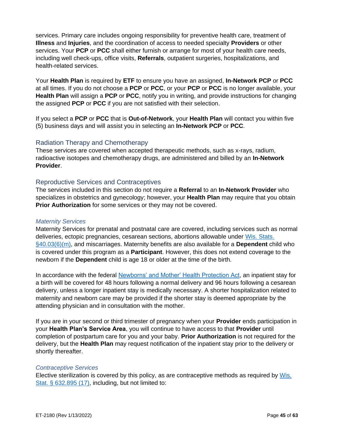services. Primary care includes ongoing responsibility for preventive health care, treatment of **Illness** and **Injuries**, and the coordination of access to needed specialty **Providers** or other services. Your **PCP** or **PCC** shall either furnish or arrange for most of your health care needs, including well check-ups, office visits, **Referrals**, outpatient surgeries, hospitalizations, and health-related services.

Your **Health Plan** is required by **ETF** to ensure you have an assigned, **In-Network PCP** or **PCC** at all times. If you do not choose a **PCP** or **PCC**, or your **PCP** or **PCC** is no longer available, your **Health Plan** will assign a **PCP** or **PCC**, notify you in writing, and provide instructions for changing the assigned **PCP** or **PCC** if you are not satisfied with their selection.

If you select a **PCP** or **PCC** that is **Out-of-Network**, your **Health Plan** will contact you within five (5) business days and will assist you in selecting an **In-Network PCP** or **PCC**.

#### <span id="page-44-0"></span>Radiation Therapy and Chemotherapy

These services are covered when accepted therapeutic methods, such as x-rays, radium, radioactive isotopes and chemotherapy drugs, are administered and billed by an **In-Network Provider**.

#### <span id="page-44-1"></span>Reproductive Services and Contraceptives

The services included in this section do not require a **Referral** to an **In-Network Provider** who specializes in obstetrics and gynecology; however, your **Health Plan** may require that you obtain **Prior Authorization** for some services or they may not be covered.

#### *Maternity Services*

Maternity Services for prenatal and postnatal care are covered, including services such as normal deliveries, ectopic pregnancies, cesarean sections, abortions allowable under [Wis. Stats.](https://docs.legis.wisconsin.gov/statutes/statutes/40/i/03/6/m)  [§40.03\(6\)\(m\),](https://docs.legis.wisconsin.gov/statutes/statutes/40/i/03/6/m) and miscarriages. Maternity benefits are also available for a **Dependent** child who is covered under this program as a **Participant**. However, this does not extend coverage to the newborn if the **Dependent** child is age 18 or older at the time of the birth.

In accordance with the federal [Newborns' and Mother' Health Protection Act,](https://www.cms.gov/CCIIO/Programs-and-Initiatives/Other-Insurance-Protections/nmhpa_factsheet) an inpatient stay for a birth will be covered for 48 hours following a normal delivery and 96 hours following a cesarean delivery, unless a longer inpatient stay is medically necessary. A shorter hospitalization related to maternity and newborn care may be provided if the shorter stay is deemed appropriate by the attending physician and in consultation with the mother.

If you are in your second or third trimester of pregnancy when your **Provider** ends participation in your **Health Plan's Service Area**, you will continue to have access to that **Provider** until completion of postpartum care for you and your baby. **Prior Authorization** is not required for the delivery, but the **Health Plan** may request notification of the inpatient stay prior to the delivery or shortly thereafter.

#### *Contraceptive Services*

Elective sterilization is covered by this policy, as are contraceptive methods as required by [Wis.](https://docs.legis.wisconsin.gov/statutes/statutes/632/VI/895/17)  [Stat. § 632.895 \(17\),](https://docs.legis.wisconsin.gov/statutes/statutes/632/VI/895/17) including, but not limited to: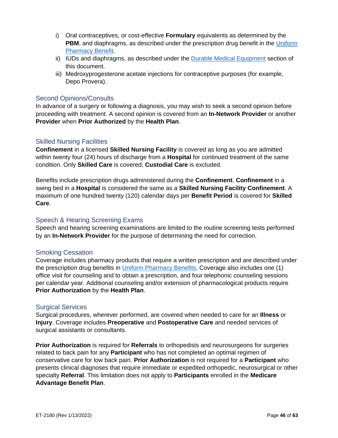- i) Oral contraceptives, or cost-effective **Formulary** equivalents as determined by the **PBM**, and diaphragms, as described under the prescription drug benefit in the Uniform [Pharmacy Benefit.](https://etf.wi.gov/resource/2021-uniform-pharmacy-benefits-certificate-coverage)
- ii) IUDs and diaphragms, as described under the [Durable Medical Equipment](#page-35-3) section of this document.
- iii) Medroxyprogesterone acetate injections for contraceptive purposes (for example, Depo Provera).

#### <span id="page-45-0"></span>Second Opinions/Consults

In advance of a surgery or following a diagnosis, you may wish to seek a second opinion before proceeding with treatment. A second opinion is covered from an **In-Network Provider** or another **Provider** when **Prior Authorized** by the **Health Plan**.

#### <span id="page-45-1"></span>Skilled Nursing Facilities

**Confinement** in a licensed **Skilled Nursing Facility** is covered as long as you are admitted within twenty four (24) hours of discharge from a **Hospital** for continued treatment of the same condition. Only **Skilled Care** is covered; **Custodial Care** is excluded.

Benefits include prescription drugs administered during the **Confinement**. **Confinement** in a swing bed in a **Hospital** is considered the same as a **Skilled Nursing Facility Confinement**. A maximum of one hundred twenty (120) calendar days per **Benefit Period** is covered for **Skilled Care**.

#### <span id="page-45-2"></span>Speech & Hearing Screening Exams

Speech and hearing screening examinations are limited to the routine screening tests performed by an **In-Network Provider** for the purpose of determining the need for correction.

#### <span id="page-45-3"></span>Smoking Cessation

Coverage includes pharmacy products that require a written prescription and are described under the prescription drug benefits in [Uniform Pharmacy Benefits.](https://etf.wi.gov/resource/2021-uniform-pharmacy-benefits-certificate-coverage) Coverage also includes one (1) office visit for counseling and to obtain a prescription, and four telephonic counseling sessions per calendar year. Additional counseling and/or extension of pharmacological products require **Prior Authorization** by the **Health Plan**.

#### <span id="page-45-4"></span>Surgical Services

Surgical procedures, wherever performed, are covered when needed to care for an **Illness** or **Injury**. Coverage includes **Preoperative** and **Postoperative Care** and needed services of surgical assistants or consultants.

**Prior Authorization** is required for **Referrals** to orthopedists and neurosurgeons for surgeries related to back pain for any **Participant** who has not completed an optimal regimen of conservative care for low back pain. **Prior Authorization** is not required for a **Participant** who presents clinical diagnoses that require immediate or expedited orthopedic, neurosurgical or other specialty **Referral**. This limitation does not apply to **Participants** enrolled in the **Medicare Advantage Benefit Plan**.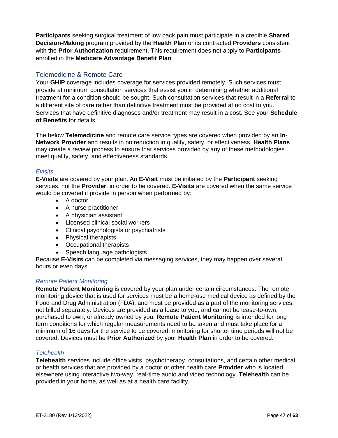**Participants** seeking surgical treatment of low back pain must participate in a credible **Shared Decision-Making** program provided by the **Health Plan** or its contracted **Providers** consistent with the **Prior Authorization** requirement. This requirement does not apply to **Participants**  enrolled in the **Medicare Advantage Benefit Plan**.

#### <span id="page-46-0"></span>Telemedicine & Remote Care

Your **GHIP** coverage includes coverage for services provided remotely. Such services must provide at minimum consultation services that assist you in determining whether additional treatment for a condition should be sought. Such consultation services that result in a **Referral** to a different site of care rather than definitive treatment must be provided at no cost to you. Services that have definitive diagnoses and/or treatment may result in a cost. See your **Schedule of Benefits** for details.

The below **Telemedicine** and remote care service types are covered when provided by an **In-Network Provider** and results in no reduction in quality, safety, or effectiveness. **Health Plans** may create a review process to ensure that services provided by any of these methodologies meet quality, safety, and effectiveness standards.

#### *Evisits*

**E-Visits** are covered by your plan. An **E-Visit** must be initiated by the **Participant** seeking services, not the **Provider**, in order to be covered. **E-Visits** are covered when the same service would be covered if provide in person when performed by:

- A doctor
- A nurse practitioner
- A physician assistant
- Licensed clinical social workers
- Clinical psychologists or psychiatrists
- Physical therapists
- Occupational therapists
- Speech language pathologists

Because **E-Visits** can be completed via messaging services, they may happen over several hours or even days.

#### *Remote Patient Monitoring*

**Remote Patient Monitoring** is covered by your plan under certain circumstances. The remote monitoring device that is used for services must be a home-use medical device as defined by the Food and Drug Administration (FDA), and must be provided as a part of the monitoring services, not billed separately. Devices are provided as a lease to you, and cannot be lease-to-own, purchased to own, or already owned by you. **Remote Patient Monitoring** is intended for long term conditions for which regular measurements need to be taken and must take place for a minimum of 16 days for the service to be covered; monitoring for shorter time periods will not be covered. Devices must be **Prior Authorized** by your **Health Plan** in order to be covered.

#### *Telehealth*

**Telehealth** services include office visits, psychotherapy, consultations, and certain other medical or health services that are provided by a doctor or other health care **Provider** who is located elsewhere using interactive two-way, real-time audio and video technology. **Telehealth** can be provided in your home, as well as at a health care facility.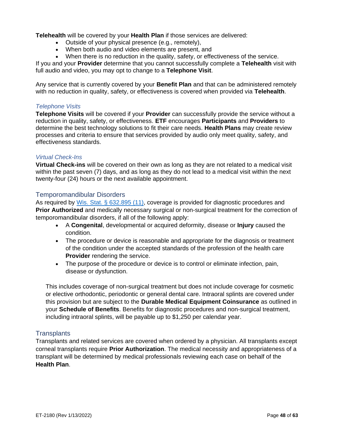**Telehealth** will be covered by your **Health Plan** if those services are delivered:

- Outside of your physical presence (e.g., remotely),
- When both audio and video elements are present, and
- When there is no reduction in the quality, safety, or effectiveness of the service.

If you and your **Provider** determine that you cannot successfully complete a **Telehealth** visit with full audio and video, you may opt to change to a **Telephone Visit**.

Any service that is currently covered by your **Benefit Plan** and that can be administered remotely with no reduction in quality, safety, or effectiveness is covered when provided via **Telehealth**.

#### *Telephone Visits*

**Telephone Visits** will be covered if your **Provider** can successfully provide the service without a reduction in quality, safety, or effectiveness. **ETF** encourages **Participants** and **Providers** to determine the best technology solutions to fit their care needs. **Health Plans** may create review processes and criteria to ensure that services provided by audio only meet quality, safety, and effectiveness standards.

#### *Virtual Check-Ins*

**Virtual Check-ins** will be covered on their own as long as they are not related to a medical visit within the past seven (7) days, and as long as they do not lead to a medical visit within the next twenty-four (24) hours or the next available appointment.

#### <span id="page-47-0"></span>Temporomandibular Disorders

As required by [Wis. Stat. § 632.895 \(11\),](https://docs.legis.wisconsin.gov/document/statutes/632.895(11)) coverage is provided for diagnostic procedures and **Prior Authorized** and medically necessary surgical or non-surgical treatment for the correction of temporomandibular disorders, if all of the following apply:

- A **Congenital**, developmental or acquired deformity, disease or **Injury** caused the condition.
- The procedure or device is reasonable and appropriate for the diagnosis or treatment of the condition under the accepted standards of the profession of the health care **Provider** rendering the service.
- The purpose of the procedure or device is to control or eliminate infection, pain, disease or dysfunction.

This includes coverage of non-surgical treatment but does not include coverage for cosmetic or elective orthodontic, periodontic or general dental care. Intraoral splints are covered under this provision but are subject to the **Durable Medical Equipment Coinsurance** as outlined in your **Schedule of Benefits**. Benefits for diagnostic procedures and non-surgical treatment, including intraoral splints, will be payable up to \$1,250 per calendar year.

#### <span id="page-47-1"></span>**Transplants**

Transplants and related services are covered when ordered by a physician. All transplants except corneal transplants require **Prior Authorization**. The medical necessity and appropriateness of a transplant will be determined by medical professionals reviewing each case on behalf of the **Health Plan**.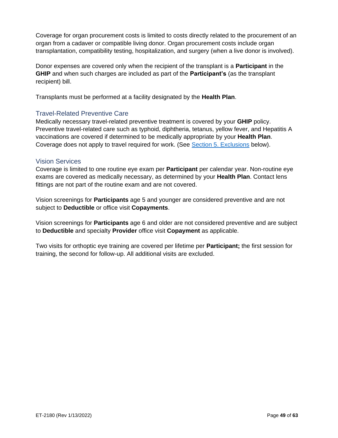Coverage for organ procurement costs is limited to costs directly related to the procurement of an organ from a cadaver or compatible living donor. Organ procurement costs include organ transplantation, compatibility testing, hospitalization, and surgery (when a live donor is involved).

Donor expenses are covered only when the recipient of the transplant is a **Participant** in the **GHIP** and when such charges are included as part of the **Participant's** (as the transplant recipient) bill.

Transplants must be performed at a facility designated by the **Health Plan**.

#### <span id="page-48-0"></span>Travel-Related Preventive Care

Medically necessary travel-related preventive treatment is covered by your **GHIP** policy. Preventive travel-related care such as typhoid, diphtheria, tetanus, yellow fever, and Hepatitis A vaccinations are covered if determined to be medically appropriate by your **Health Plan**. Coverage does not apply to travel required for work. (See [Section 5. Exclusions](#page-49-0) below).

#### <span id="page-48-1"></span>Vision Services

Coverage is limited to one routine eye exam per **Participant** per calendar year. Non-routine eye exams are covered as medically necessary, as determined by your **Health Plan**. Contact lens fittings are not part of the routine exam and are not covered.

Vision screenings for **Participants** age 5 and younger are considered preventive and are not subject to **Deductible** or office visit **Copayments**.

Vision screenings for **Participants** age 6 and older are not considered preventive and are subject to **Deductible** and specialty **Provider** office visit **Copayment** as applicable.

Two visits for orthoptic eye training are covered per lifetime per **Participant;** the first session for training, the second for follow-up. All additional visits are excluded.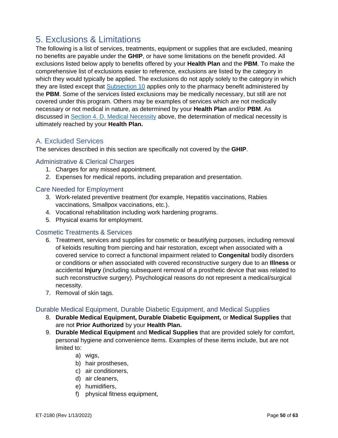# <span id="page-49-0"></span>5. Exclusions & Limitations

The following is a list of services, treatments, equipment or supplies that are excluded, meaning no benefits are payable under the **GHIP**, or have some limitations on the benefit provided. All exclusions listed below apply to benefits offered by your **Health Plan** and the **PBM**. To make the comprehensive list of exclusions easier to reference, exclusions are listed by the category in which they would typically be applied. The exclusions do not apply solely to the category in which they are listed except that [Subsection 10](#page-54-5) applies only to the pharmacy benefit administered by the **PBM**. Some of the services listed exclusions may be medically necessary, but still are not covered under this program. Others may be examples of services which are not medically necessary or not medical in nature, as determined by your **Health Plan** and/or **PBM**. As discussed in [Section 4. D. Medical Necessity](#page-31-2) above, the determination of medical necessity is ultimately reached by your **Health Plan.**

# <span id="page-49-1"></span>A. Excluded Services

The services described in this section are specifically not covered by the **GHIP**.

#### <span id="page-49-2"></span>Administrative & Clerical Charges

- 1. Charges for any missed appointment.
- 2. Expenses for medical reports, including preparation and presentation.

#### <span id="page-49-3"></span>Care Needed for Employment

- 3. Work-related preventive treatment (for example, Hepatitis vaccinations, Rabies vaccinations, Smallpox vaccinations, etc.).
- 4. Vocational rehabilitation including work hardening programs.
- 5. Physical exams for employment.

#### <span id="page-49-4"></span>Cosmetic Treatments & Services

- 6. Treatment, services and supplies for cosmetic or beautifying purposes, including removal of keloids resulting from piercing and hair restoration, except when associated with a covered service to correct a functional impairment related to **Congenital** bodily disorders or conditions or when associated with covered reconstructive surgery due to an **Illness** or accidental **Injury** (including subsequent removal of a prosthetic device that was related to such reconstructive surgery). Psychological reasons do not represent a medical/surgical necessity.
- 7. Removal of skin tags.

#### <span id="page-49-5"></span>Durable Medical Equipment, Durable Diabetic Equipment, and Medical Supplies

- 8. **Durable Medical Equipment, Durable Diabetic Equipment,** or **Medical Supplies** that are not **Prior Authorized** by your **Health Plan.**
- 9. **Durable Medical Equipment** and **Medical Supplies** that are provided solely for comfort, personal hygiene and convenience items. Examples of these items include, but are not limited to:
	- a) wigs,
	- b) hair prostheses,
	- c) air conditioners,
	- d) air cleaners,
	- e) humidifiers,
	- f) physical fitness equipment,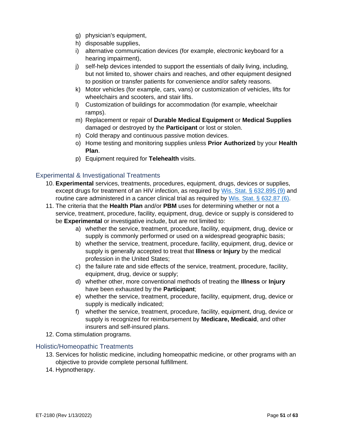- g) physician's equipment,
- h) disposable supplies,
- i) alternative communication devices (for example, electronic keyboard for a hearing impairment),
- j) self-help devices intended to support the essentials of daily living, including, but not limited to, shower chairs and reaches, and other equipment designed to position or transfer patients for convenience and/or safety reasons.
- k) Motor vehicles (for example, cars, vans) or customization of vehicles, lifts for wheelchairs and scooters, and stair lifts.
- l) Customization of buildings for accommodation (for example, wheelchair ramps).
- m) Replacement or repair of **Durable Medical Equipment** or **Medical Supplies** damaged or destroyed by the **Participant** or lost or stolen.
- n) Cold therapy and continuous passive motion devices.
- o) Home testing and monitoring supplies unless **Prior Authorized** by your **Health Plan**.
- p) Equipment required for **Telehealth** visits.

#### <span id="page-50-0"></span>Experimental & Investigational Treatments

- 10. **Experimental** services, treatments, procedures, equipment, drugs, devices or supplies, except drugs for treatment of an HIV infection, as required by [Wis. Stat. § 632.895 \(9\)](https://docs.legis.wisconsin.gov/document/statutes/632.895(9)) and routine care administered in a cancer clinical trial as required by [Wis. Stat. § 632.87 \(6\).](https://docs.legis.wisconsin.gov/document/statutes/632.87(6))
- 11. The criteria that the **Health Plan** and/or **PBM** uses for determining whether or not a service, treatment, procedure, facility, equipment, drug, device or supply is considered to be **Experimental** or investigative include, but are not limited to:
	- a) whether the service, treatment, procedure, facility, equipment, drug, device or supply is commonly performed or used on a widespread geographic basis;
	- b) whether the service, treatment, procedure, facility, equipment, drug, device or supply is generally accepted to treat that **Illness** or **Injury** by the medical profession in the United States;
	- c) the failure rate and side effects of the service, treatment, procedure, facility, equipment, drug, device or supply;
	- d) whether other, more conventional methods of treating the **Illness** or **Injury** have been exhausted by the **Participant**;
	- e) whether the service, treatment, procedure, facility, equipment, drug, device or supply is medically indicated;
	- f) whether the service, treatment, procedure, facility, equipment, drug, device or supply is recognized for reimbursement by **Medicare, Medicaid**, and other insurers and self-insured plans.
- 12. Coma stimulation programs.

#### <span id="page-50-1"></span>Holistic/Homeopathic Treatments

- 13. Services for holistic medicine, including homeopathic medicine, or other programs with an objective to provide complete personal fulfillment.
- 14. Hypnotherapy.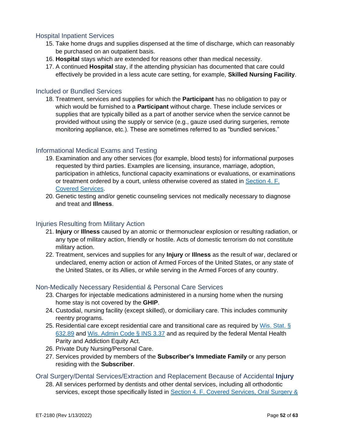#### <span id="page-51-0"></span>Hospital Inpatient Services

- 15. Take home drugs and supplies dispensed at the time of discharge, which can reasonably be purchased on an outpatient basis.
- 16. **Hospital** stays which are extended for reasons other than medical necessity.
- 17. A continued **Hospital** stay, if the attending physician has documented that care could effectively be provided in a less acute care setting, for example, **Skilled Nursing Facility**.

#### <span id="page-51-1"></span>Included or Bundled Services

18. Treatment, services and supplies for which the **Participant** has no obligation to pay or which would be furnished to a **Participant** without charge. These include services or supplies that are typically billed as a part of another service when the service cannot be provided without using the supply or service (e.g., gauze used during surgeries, remote monitoring appliance, etc.). These are sometimes referred to as "bundled services."

#### <span id="page-51-2"></span>Informational Medical Exams and Testing

- 19. Examination and any other services (for example, blood tests) for informational purposes requested by third parties. Examples are licensing, insurance, marriage, adoption, participation in athletics, functional capacity examinations or evaluations, or examinations or treatment ordered by a court, unless otherwise covered as stated in [Section 4.](#page-32-0) F. [Covered Services.](#page-32-0)
- 20. Genetic testing and/or genetic counseling services not medically necessary to diagnose and treat and **Illness**.

#### <span id="page-51-3"></span>Injuries Resulting from Military Action

- 21. **Injury** or **Illness** caused by an atomic or thermonuclear explosion or resulting radiation, or any type of military action, friendly or hostile. Acts of domestic terrorism do not constitute military action.
- 22. Treatment, services and supplies for any **Injury** or **Illness** as the result of war, declared or undeclared, enemy action or action of Armed Forces of the United States, or any state of the United States, or its Allies, or while serving in the Armed Forces of any country.

#### <span id="page-51-4"></span>Non-Medically Necessary Residential & Personal Care Services

- 23. Charges for injectable medications administered in a nursing home when the nursing home stay is not covered by the **GHIP**.
- 24. Custodial, nursing facility (except skilled), or domiciliary care. This includes community reentry programs.
- 25. Residential care except residential care and transitional care as required by Wis. Stat. § [632.89](https://docs.legis.wisconsin.gov/document/statutes/632.89) and [Wis. Admin Code § INS 3.37](https://docs.legis.wisconsin.gov/code/admin_code/ins/3/37) and as required by the federal Mental Health Parity and Addiction Equity Act.
- 26. Private Duty Nursing/Personal Care.
- 27. Services provided by members of the **Subscriber's Immediate Family** or any person residing with the **Subscriber**.

<span id="page-51-5"></span>Oral Surgery/Dental Services/Extraction and Replacement Because of Accidental **Injury**

28. All services performed by dentists and other dental services, including all orthodontic services, except those specifically listed in **Section 4. F. Covered Services**, Oral Surgery &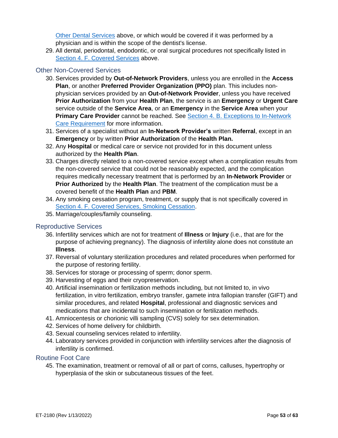[Other Dental Services](#page-42-1) above, or which would be covered if it was performed by a physician and is within the scope of the dentist's license.

29. All dental, periodontal, endodontic, or oral surgical procedures not specifically listed in Section 4. [F. Covered Services](#page-32-0) above.

#### <span id="page-52-0"></span>Other Non-Covered Services

- 30. Services provided by **Out-of-Network Providers**, unless you are enrolled in the **Access Plan**, or another **Preferred Provider Organization (PPO)** plan. This includes nonphysician services provided by an **Out-of-Network Provider**, unless you have received **Prior Authorization** from your **Health Plan**, the service is an **Emergency** or **Urgent Care**  service outside of the **Service Area**, or an **Emergency** in the **Service Area** when your **Primary Care Provider** cannot be reached. See **Section 4. B. Exceptions to In-Network** [Care Requirement](#page-30-2) for more information.
- 31. Services of a specialist without an **In-Network Provider's** written **Referral**, except in an **Emergency** or by written **Prior Authorization** of the **Health Plan.**
- 32. Any **Hospital** or medical care or service not provided for in this document unless authorized by the **Health Plan**.
- 33. Charges directly related to a non-covered service except when a complication results from the non-covered service that could not be reasonably expected, and the complication requires medically necessary treatment that is performed by an **In-Network Provider** or **Prior Authorized** by the **Health Plan**. The treatment of the complication must be a covered benefit of the **Health Plan** and **PBM**.
- 34. Any smoking cessation program, treatment, or supply that is not specifically covered in [Section 4. F. Covered Services, Smoking Cessation.](#page-45-3)
- 35. Marriage/couples/family counseling.

#### <span id="page-52-1"></span>Reproductive Services

- 36. Infertility services which are not for treatment of **Illness** or **Injury** (i.e., that are for the purpose of achieving pregnancy). The diagnosis of infertility alone does not constitute an **Illness**.
- 37. Reversal of voluntary sterilization procedures and related procedures when performed for the purpose of restoring fertility.
- 38. Services for storage or processing of sperm; donor sperm.
- 39. Harvesting of eggs and their cryopreservation.
- 40. Artificial insemination or fertilization methods including, but not limited to, in vivo fertilization, in vitro fertilization, embryo transfer, gamete intra fallopian transfer (GIFT) and similar procedures, and related **Hospital**, professional and diagnostic services and medications that are incidental to such insemination or fertilization methods.
- 41. Amniocentesis or chorionic villi sampling (CVS) solely for sex determination.
- 42. Services of home delivery for childbirth.
- 43. Sexual counseling services related to infertility.
- 44. Laboratory services provided in conjunction with infertility services after the diagnosis of infertility is confirmed.

#### <span id="page-52-2"></span>Routine Foot Care

45. The examination, treatment or removal of all or part of corns, calluses, hypertrophy or hyperplasia of the skin or subcutaneous tissues of the feet.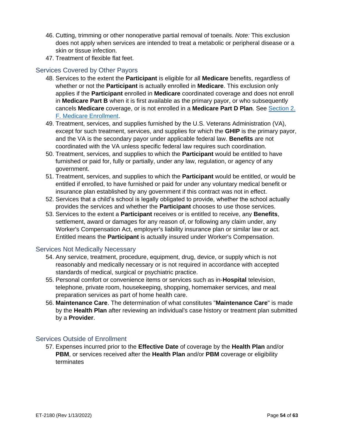- 46. Cutting, trimming or other nonoperative partial removal of toenails. *Note:* This exclusion does not apply when services are intended to treat a metabolic or peripheral disease or a skin or tissue infection.
- 47. Treatment of flexible flat feet.

## <span id="page-53-0"></span>Services Covered by Other Payors

- 48. Services to the extent the **Participant** is eligible for all **Medicare** benefits, regardless of whether or not the **Participant** is actually enrolled in **Medicare**. This exclusion only applies if the **Participant** enrolled in **Medicare** coordinated coverage and does not enroll in **Medicare Part B** when it is first available as the primary payor, or who subsequently cancels **Medicare** coverage, or is not enrolled in a **Medicare Part D Plan**. See [Section 2.](#page-21-4)  [F. Medicare Enrollment.](#page-21-4)
- 49. Treatment, services, and supplies furnished by the U.S. Veterans Administration (VA), except for such treatment, services, and supplies for which the **GHIP** is the primary payor, and the VA is the secondary payor under applicable federal law. **Benefits** are not coordinated with the VA unless specific federal law requires such coordination.
- 50. Treatment, services, and supplies to which the **Participant** would be entitled to have furnished or paid for, fully or partially, under any law, regulation, or agency of any government.
- 51. Treatment, services, and supplies to which the **Participant** would be entitled, or would be entitled if enrolled, to have furnished or paid for under any voluntary medical benefit or insurance plan established by any government if this contract was not in effect.
- 52. Services that a child's school is legally obligated to provide, whether the school actually provides the services and whether the **Participant** chooses to use those services.
- 53. Services to the extent a **Participant** receives or is entitled to receive, any **Benefits**, settlement, award or damages for any reason of, or following any claim under, any Worker's Compensation Act, employer's liability insurance plan or similar law or act. Entitled means the **Participant** is actually insured under Worker's Compensation.

#### <span id="page-53-1"></span>Services Not Medically Necessary

- 54. Any service, treatment, procedure, equipment, drug, device, or supply which is not reasonably and medically necessary or is not required in accordance with accepted standards of medical, surgical or psychiatric practice.
- 55. Personal comfort or convenience items or services such as in-**Hospital** television, telephone, private room, housekeeping, shopping, homemaker services, and meal preparation services as part of home health care.
- 56. **Maintenance Care**. The determination of what constitutes "**Maintenance Care**" is made by the **Health Plan** after reviewing an individual's case history or treatment plan submitted by a **Provider**.

#### <span id="page-53-2"></span>Services Outside of Enrollment

57. Expenses incurred prior to the **Effective Date** of coverage by the **Health Plan** and/or **PBM**, or services received after the **Health Plan** and/or **PBM** coverage or eligibility terminates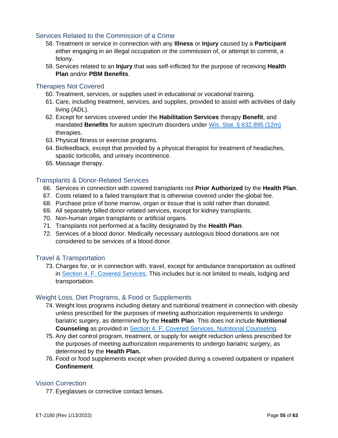#### <span id="page-54-0"></span>Services Related to the Commission of a Crime

- 58. Treatment or service in connection with any **Illness** or **Injury** caused by a **Participant** either engaging in an illegal occupation or the commission of, or attempt to commit, a felony.
- 59. Services related to an **Injury** that was self-inflicted for the purpose of receiving **Health Plan** and/or **PBM Benefits**.

#### <span id="page-54-1"></span>Therapies Not Covered

- 60. Treatment, services, or supplies used in educational or vocational training.
- 61. Care, including treatment, services, and supplies, provided to assist with activities of daily living (ADL).
- 62. Except for services covered under the **Habilitation Services** therapy **Benefit**, and mandated **Benefits** for autism spectrum disorders under [Wis. Stat. § 632.895 \(12m\)](https://docs.legis.wisconsin.gov/statutes/statutes/632/VI/895/12m) therapies.
- 63. Physical fitness or exercise programs.
- 64. Biofeedback, except that provided by a physical therapist for treatment of headaches, spastic torticollis, and urinary incontinence.
- 65. Massage therapy.

#### <span id="page-54-2"></span>Transplants & Donor-Related Services

- 66. Services in connection with covered transplants not **Prior Authorized** by the **Health Plan**.
- 67. Costs related to a failed transplant that is otherwise covered under the global fee.
- 68. Purchase price of bone marrow, organ or tissue that is sold rather than donated.
- 69. All separately billed donor-related services, except for kidney transplants.
- 70. Non-human organ transplants or artificial organs.
- 71. Transplants not performed at a facility designated by the **Health Plan**.
- 72. Services of a blood donor. Medically necessary autologous blood donations are not considered to be services of a blood donor.

#### <span id="page-54-3"></span>Travel & Transportation

73. Charges for, or in connection with, travel, except for ambulance transportation as outlined in [Section 4. F. Covered Services.](#page-32-0) This includes but is not limited to meals, lodging and transportation.

#### <span id="page-54-4"></span>Weight Loss, Diet Programs, & Food or Supplements

- 74. Weight loss programs including dietary and nutritional treatment in connection with obesity unless prescribed for the purposes of meeting authorization requirements to undergo bariatric surgery, as determined by the **Health Plan**. This does not include **Nutritional Counseling** as provided in [Section 4. F. Covered Services, Nutritional Counseling.](#page-42-0)
- 75. Any diet control program, treatment, or supply for weight reduction unless prescribed for the purposes of meeting authorization requirements to undergo bariatric surgery, as determined by the **Health Plan.**
- 76. Food or food supplements except when provided during a covered outpatient or inpatient **Confinement**.

#### <span id="page-54-5"></span>Vision Correction

77. Eyeglasses or corrective contact lenses.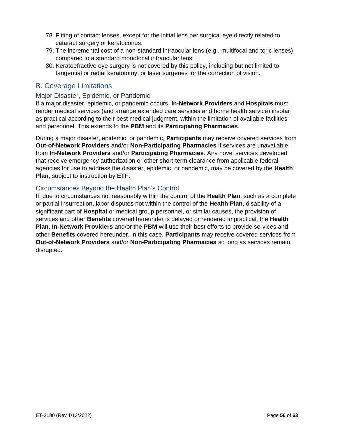- 78. Fitting of contact lenses, except for the initial lens per surgical eye directly related to cataract surgery or keratoconus.
- 79. The incremental cost of a non-standard intraocular lens (e.g., multifocal and toric lenses) compared to a standard monofocal intraocular lens.
- 80. Keratoefractive eye surgery is not covered by this policy, including but not limited to tangential or radial keratotomy, or laser surgeries for the correction of vision.

# <span id="page-55-0"></span>B. Coverage Limitations

## <span id="page-55-1"></span>Major Disaster, Epidemic, or Pandemic

If a major disaster, epidemic, or pandemic occurs, **In-Network Providers** and **Hospitals** must render medical services (and arrange extended care services and home health service) insofar as practical according to their best medical judgment, within the limitation of available facilities and personnel. This extends to the **PBM** and its **Participating Pharmacies**.

During a major disaster, epidemic, or pandemic, **Participants** may receive covered services from **Out-of-Network Providers** and/or **Non-Participating Pharmacies** if services are unavailable from **In-Network Providers** and/or **Participating Pharmacies**. Any novel services developed that receive emergency authorization or other short-term clearance from applicable federal agencies for use to address the disaster, epidemic, or pandemic, may be covered by the **Health Plan**, subject to instruction by **ETF**.

## <span id="page-55-2"></span>Circumstances Beyond the Health Plan's Control

If, due to circumstances not reasonably within the control of the **Health Plan**, such as a complete or partial insurrection, labor disputes not within the control of the **Health Plan**, disability of a significant part of **Hospital** or medical group personnel, or similar causes, the provision of services and other **Benefits** covered hereunder is delayed or rendered impractical, the **Health Plan**, **In-Network Providers** and/or the **PBM** will use their best efforts to provide services and other **Benefits** covered hereunder. In this case, **Participants** may receive covered services from **Out-of-Network Providers** and/or **Non-Participating Pharmacies** so long as services remain disrupted.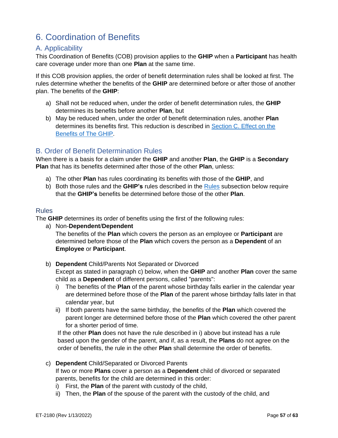# <span id="page-56-0"></span>6. Coordination of Benefits

# <span id="page-56-1"></span>A. Applicability

This Coordination of Benefits (COB) provision applies to the **GHIP** when a **Participant** has health care coverage under more than one **Plan** at the same time.

If this COB provision applies, the order of benefit determination rules shall be looked at first. The rules determine whether the benefits of the **GHIP** are determined before or after those of another plan. The benefits of the **GHIP**:

- a) Shall not be reduced when, under the order of benefit determination rules, the **GHIP** determines its benefits before another **Plan**, but
- b) May be reduced when, under the order of benefit determination rules, another **Plan** determines its benefits first. This reduction is described in [Section C. Effect on the](#page-57-0)  [Benefits of The GHIP.](#page-57-0)

# <span id="page-56-2"></span>B. Order of Benefit Determination Rules

When there is a basis for a claim under the **GHIP** and another **Plan**, the **GHIP** is a **Secondary Plan** that has its benefits determined after those of the other **Plan**, unless:

- a) The other **Plan** has rules coordinating its benefits with those of the **GHIP**, and
- b) Both those rules and the **GHIP's** rules described in the [Rules](#page-56-3) subsection below require that the **GHIP's** benefits be determined before those of the other **Plan**.

#### <span id="page-56-3"></span>Rules

The **GHIP** determines its order of benefits using the first of the following rules:

- a) Non-**Dependent**/**Dependent** The benefits of the **Plan** which covers the person as an employee or **Participant** are determined before those of the **Plan** which covers the person as a **Dependent** of an **Employee** or **Participant**.
- b) **Dependent** Child/Parents Not Separated or Divorced Except as stated in paragraph c) below, when the **GHIP** and another **Plan** cover the same child as a **Dependent** of different persons, called "parents":
	- i) The benefits of the **Plan** of the parent whose birthday falls earlier in the calendar year are determined before those of the **Plan** of the parent whose birthday falls later in that calendar year, but
	- ii) If both parents have the same birthday, the benefits of the **Plan** which covered the parent longer are determined before those of the **Plan** which covered the other parent for a shorter period of time.

If the other **Plan** does not have the rule described in i) above but instead has a rule based upon the gender of the parent, and if, as a result, the **Plans** do not agree on the order of benefits, the rule in the other **Plan** shall determine the order of benefits.

c) **Dependent** Child/Separated or Divorced Parents

If two or more **Plans** cover a person as a **Dependent** child of divorced or separated parents, benefits for the child are determined in this order:

- i) First, the **Plan** of the parent with custody of the child,
- ii) Then, the **Plan** of the spouse of the parent with the custody of the child, and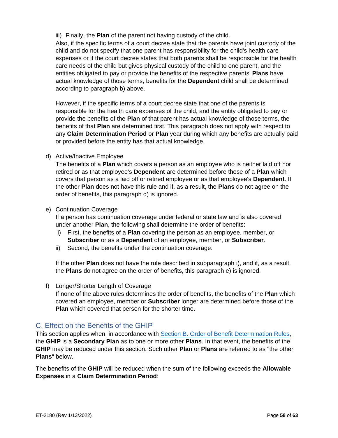iii) Finally, the **Plan** of the parent not having custody of the child.

Also, if the specific terms of a court decree state that the parents have joint custody of the child and do not specify that one parent has responsibility for the child's health care expenses or if the court decree states that both parents shall be responsible for the health care needs of the child but gives physical custody of the child to one parent, and the entities obligated to pay or provide the benefits of the respective parents' **Plans** have actual knowledge of those terms, benefits for the **Dependent** child shall be determined according to paragraph b) above.

However, if the specific terms of a court decree state that one of the parents is responsible for the health care expenses of the child, and the entity obligated to pay or provide the benefits of the **Plan** of that parent has actual knowledge of those terms, the benefits of that **Plan** are determined first. This paragraph does not apply with respect to any **Claim Determination Period** or **Plan** year during which any benefits are actually paid or provided before the entity has that actual knowledge.

d) Active/Inactive Employee

The benefits of a **Plan** which covers a person as an employee who is neither laid off nor retired or as that employee's **Dependent** are determined before those of a **Plan** which covers that person as a laid off or retired employee or as that employee's **Dependent**. If the other **Plan** does not have this rule and if, as a result, the **Plans** do not agree on the order of benefits, this paragraph d) is ignored.

#### e) Continuation Coverage

If a person has continuation coverage under federal or state law and is also covered under another **Plan**, the following shall determine the order of benefits:

- i) First, the benefits of a **Plan** covering the person as an employee, member, or **Subscriber** or as a **Dependent** of an employee, member, or **Subscriber**.
- ii) Second, the benefits under the continuation coverage.

If the other **Plan** does not have the rule described in subparagraph i), and if, as a result, the **Plans** do not agree on the order of benefits, this paragraph e) is ignored.

#### f) Longer/Shorter Length of Coverage

If none of the above rules determines the order of benefits, the benefits of the **Plan** which covered an employee, member or **Subscriber** longer are determined before those of the **Plan** which covered that person for the shorter time.

# <span id="page-57-0"></span>C. Effect on the Benefits of the GHIP

This section applies when, in accordance with [Section B. Order of Benefit Determination Rules,](#page-56-2) the **GHIP** is a **Secondary Plan** as to one or more other **Plans**. In that event, the benefits of the **GHIP** may be reduced under this section. Such other **Plan** or **Plans** are referred to as "the other **Plans**" below.

The benefits of the **GHIP** will be reduced when the sum of the following exceeds the **Allowable Expenses** in a **Claim Determination Period**: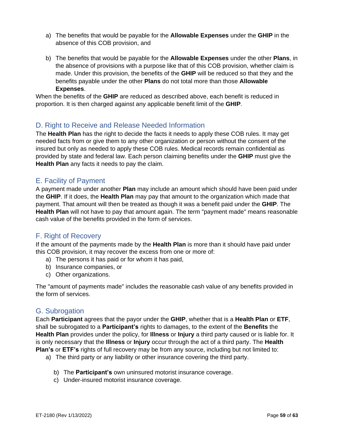- a) The benefits that would be payable for the **Allowable Expenses** under the **GHIP** in the absence of this COB provision, and
- b) The benefits that would be payable for the **Allowable Expenses** under the other **Plans**, in the absence of provisions with a purpose like that of this COB provision, whether claim is made. Under this provision, the benefits of the **GHIP** will be reduced so that they and the benefits payable under the other **Plans** do not total more than those **Allowable Expenses**.

When the benefits of the **GHIP** are reduced as described above, each benefit is reduced in proportion. It is then charged against any applicable benefit limit of the **GHIP**.

# <span id="page-58-0"></span>D. Right to Receive and Release Needed Information

The **Health Plan** has the right to decide the facts it needs to apply these COB rules. It may get needed facts from or give them to any other organization or person without the consent of the insured but only as needed to apply these COB rules. Medical records remain confidential as provided by state and federal law. Each person claiming benefits under the **GHIP** must give the **Health Plan** any facts it needs to pay the claim.

# <span id="page-58-1"></span>E. Facility of Payment

A payment made under another **Plan** may include an amount which should have been paid under the **GHIP**. If it does, the **Health Plan** may pay that amount to the organization which made that payment. That amount will then be treated as though it was a benefit paid under the **GHIP**. The **Health Plan** will not have to pay that amount again. The term "payment made" means reasonable cash value of the benefits provided in the form of services.

# <span id="page-58-2"></span>F. Right of Recovery

If the amount of the payments made by the **Health Plan** is more than it should have paid under this COB provision, it may recover the excess from one or more of:

- a) The persons it has paid or for whom it has paid,
- b) Insurance companies, or
- c) Other organizations.

The "amount of payments made" includes the reasonable cash value of any benefits provided in the form of services.

# <span id="page-58-3"></span>G. Subrogation

Each **Participant** agrees that the payor under the **GHIP**, whether that is a **Health Plan** or **ETF**, shall be subrogated to a **Participant's** rights to damages, to the extent of the **Benefits** the **Health Plan** provides under the policy, for **Illness** or **Injury** a third party caused or is liable for. It is only necessary that the **Illness** or **Injury** occur through the act of a third party. The **Health Plan's** or **ETF's** rights of full recovery may be from any source, including but not limited to:

- a) The third party or any liability or other insurance covering the third party.
	- b) The **Participant's** own uninsured motorist insurance coverage.
	- c) Under-insured motorist insurance coverage.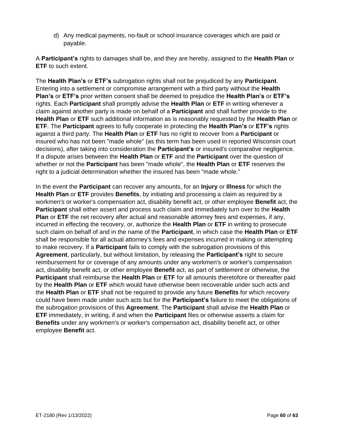d) Any medical payments, no-fault or school insurance coverages which are paid or payable.

A **Participant's** rights to damages shall be, and they are hereby, assigned to the **Health Plan** or **ETF** to such extent.

The **Health Plan's** or **ETF's** subrogation rights shall not be prejudiced by any **Participant**. Entering into a settlement or compromise arrangement with a third party without the **Health Plan's** or **ETF's** prior written consent shall be deemed to prejudice the **Health Plan's** or **ETF's** rights. Each **Participant** shall promptly advise the **Health Plan** or **ETF** in writing whenever a claim against another party is made on behalf of a **Participant** and shall further provide to the **Health Plan** or **ETF** such additional information as is reasonably requested by the **Health Plan** or **ETF**. The **Participant** agrees to fully cooperate in protecting the **Health Plan's** or **ETF's** rights against a third party. The **Health Plan** or **ETF** has no right to recover from a **Participant** or insured who has not been "made whole" (as this term has been used in reported Wisconsin court decisions), after taking into consideration the **Participant's** or insured's comparative negligence. If a dispute arises between the **Health Plan** or **ETF** and the **Participant** over the question of whether or not the **Participant** has been "made whole", the **Health Plan** or **ETF** reserves the right to a judicial determination whether the insured has been "made whole."

In the event the **Participant** can recover any amounts, for an **Injury** or **Illness** for which the **Health Plan** or **ETF** provides **Benefits**, by initiating and processing a claim as required by a workmen's or worker's compensation act, disability benefit act, or other employee **Benefit** act, the **Participant** shall either assert and process such claim and immediately turn over to the **Health Plan** or **ETF** the net recovery after actual and reasonable attorney fees and expenses, if any, incurred in effecting the recovery, or, authorize the **Health Plan** or **ETF** in writing to prosecute such claim on behalf of and in the name of the **Participant**, in which case the **Health Plan** or **ETF** shall be responsible for all actual attorney's fees and expenses incurred in making or attempting to make recovery. If a **Participant** fails to comply with the subrogation provisions of this **Agreement**, particularly, but without limitation, by releasing the **Participant's** right to secure reimbursement for or coverage of any amounts under any workmen's or worker's compensation act, disability benefit act, or other employee **Benefit** act, as part of settlement or otherwise, the **Participant** shall reimburse the **Health Plan** or **ETF** for all amounts theretofore or thereafter paid by the **Health Plan** or **ETF** which would have otherwise been recoverable under such acts and the **Health Plan** or **ETF** shall not be required to provide any future **Benefits** for which recovery could have been made under such acts but for the **Participant's** failure to meet the obligations of the subrogation provisions of this **Agreement**. The **Participant** shall advise the **Health Plan** or **ETF** immediately, in writing, if and when the **Participant** files or otherwise asserts a claim for **Benefits** under any workmen's or worker's compensation act, disability benefit act, or other employee **Benefit** act.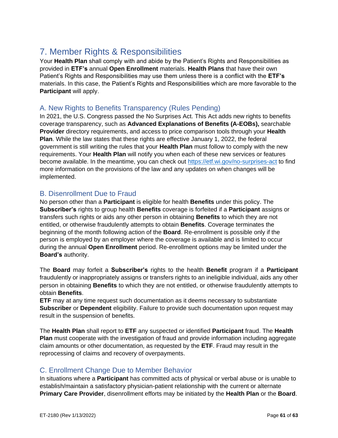# <span id="page-60-0"></span>7. Member Rights & Responsibilities

Your **Health Plan** shall comply with and abide by the Patient's Rights and Responsibilities as provided in **ETF's** annual **Open Enrollment** materials. **Health Plans** that have their own Patient's Rights and Responsibilities may use them unless there is a conflict with the **ETF's**  materials. In this case, the Patient's Rights and Responsibilities which are more favorable to the **Participant** will apply.

# <span id="page-60-1"></span>A. New Rights to Benefits Transparency (Rules Pending)

In 2021, the U.S. Congress passed the No Surprises Act. This Act adds new rights to benefits coverage transparency, such as **Advanced Explanations of Benefits (A-EOBs),** searchable **Provider** directory requirements, and access to price comparison tools through your **Health Plan**. While the law states that these rights are effective January 1, 2022, the federal government is still writing the rules that your **Health Plan** must follow to comply with the new requirements. Your **Health Plan** will notify you when each of these new services or features become available. In the meantime, you can check out<https://etf.wi.gov/no-surprises-act> to find more information on the provisions of the law and any updates on when changes will be implemented.

## <span id="page-60-2"></span>B. Disenrollment Due to Fraud

No person other than a **Participant** is eligible for health **Benefits** under this policy. The **Subscriber's** rights to group health **Benefits** coverage is forfeited if a **Participant** assigns or transfers such rights or aids any other person in obtaining **Benefits** to which they are not entitled, or otherwise fraudulently attempts to obtain **Benefits**. Coverage terminates the beginning of the month following action of the **Board**. Re-enrollment is possible only if the person is employed by an employer where the coverage is available and is limited to occur during the annual **Open Enrollment** period. Re-enrollment options may be limited under the **Board's** authority.

The **Board** may forfeit a **Subscriber's** rights to the health **Benefit** program if a **Participant** fraudulently or inappropriately assigns or transfers rights to an ineligible individual, aids any other person in obtaining **Benefits** to which they are not entitled, or otherwise fraudulently attempts to obtain **Benefits**.

**ETF** may at any time request such documentation as it deems necessary to substantiate **Subscriber** or **Dependent** eligibility. Failure to provide such documentation upon request may result in the suspension of benefits.

The **Health Plan** shall report to **ETF** any suspected or identified **Participant** fraud. The **Health Plan** must cooperate with the investigation of fraud and provide information including aggregate claim amounts or other documentation, as requested by the **ETF**. Fraud may result in the reprocessing of claims and recovery of overpayments.

# <span id="page-60-3"></span>C. Enrollment Change Due to Member Behavior

In situations where a **Participant** has committed acts of physical or verbal abuse or is unable to establish/maintain a satisfactory physician-patient relationship with the current or alternate **Primary Care Provider**, disenrollment efforts may be initiated by the **Health Plan** or the **Board**.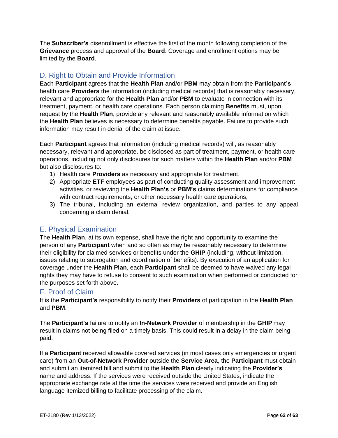The **Subscriber's** disenrollment is effective the first of the month following completion of the **Grievance** process and approval of the **Board**. Coverage and enrollment options may be limited by the **Board**.

# <span id="page-61-0"></span>D. Right to Obtain and Provide Information

Each **Participant** agrees that the **Health Plan** and/or **PBM** may obtain from the **Participant's** health care **Providers** the information (including medical records) that is reasonably necessary, relevant and appropriate for the **Health Plan** and/or **PBM** to evaluate in connection with its treatment, payment, or health care operations. Each person claiming **Benefits** must, upon request by the **Health Plan**, provide any relevant and reasonably available information which the **Health Plan** believes is necessary to determine benefits payable. Failure to provide such information may result in denial of the claim at issue.

Each **Participant** agrees that information (including medical records) will, as reasonably necessary, relevant and appropriate, be disclosed as part of treatment, payment, or health care operations, including not only disclosures for such matters within the **Health Plan** and/or **PBM** but also disclosures to:

- 1) Health care **Providers** as necessary and appropriate for treatment,
- 2) Appropriate **ETF** employees as part of conducting quality assessment and improvement activities, or reviewing the **Health Plan's** or **PBM's** claims determinations for compliance with contract requirements, or other necessary health care operations,
- 3) The tribunal, including an external review organization, and parties to any appeal concerning a claim denial.

# <span id="page-61-1"></span>E. Physical Examination

The **Health Plan**, at its own expense, shall have the right and opportunity to examine the person of any **Participant** when and so often as may be reasonably necessary to determine their eligibility for claimed services or benefits under the **GHIP** (including, without limitation, issues relating to subrogation and coordination of benefits). By execution of an application for coverage under the **Health Plan**, each **Participant** shall be deemed to have waived any legal rights they may have to refuse to consent to such examination when performed or conducted for the purposes set forth above.

#### <span id="page-61-2"></span>F. Proof of Claim

It is the **Participant's** responsibility to notify their **Providers** of participation in the **Health Plan** and **PBM**.

The **Participant's** failure to notify an **In-Network Provider** of membership in the **GHIP** may result in claims not being filed on a timely basis. This could result in a delay in the claim being paid.

If a **Participant** received allowable covered services (in most cases only emergencies or urgent care) from an **Out-of-Network Provider** outside the **Service Area**, the **Participant** must obtain and submit an itemized bill and submit to the **Health Plan** clearly indicating the **Provider's** name and address. If the services were received outside the United States, indicate the appropriate exchange rate at the time the services were received and provide an English language itemized billing to facilitate processing of the claim.